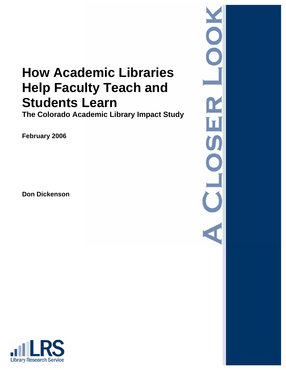# **How Academic Libraries Help Faculty Teach and Students Learn**

**The Colorado Academic Library Impact Study** 

**February 2006** 

**Don Dickenson** 



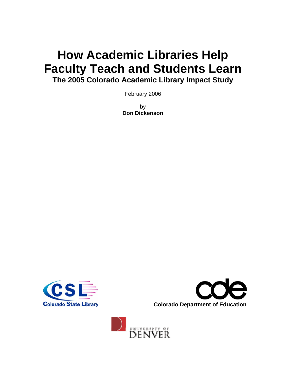# **How Academic Libraries Help Faculty Teach and Students Learn**

**The 2005 Colorado Academic Library Impact Study** 

February 2006

by **Don Dickenson** 





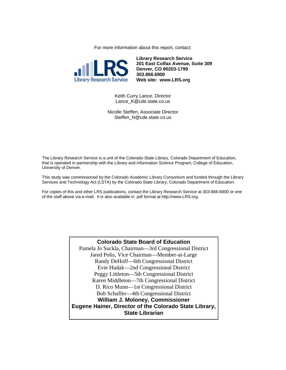For more information about this report, contact:



**Library Research Service 201 East Colfax Avenue, Suite 309 Denver, CO 80203-1799 303.866.6900 Web site: www.LRS.org** 

Keith Curry Lance, Director Lance K@cde.state.co.us

Nicolle Steffen, Associate Director Steffen\_N@cde.state.co.us

The Library Research Service is a unit of the Colorado State Library, Colorado Department of Education, that is operated in partnership with the Library and Information Science Program, College of Education, University of Denver.

This study was commissioned by the Colorado Academic Library Consortium and funded through the Library Services and Technology Act (LSTA) by the Colorado State Library, Colorado Department of Education.

For copies of this and other LRS publications, contact the Library Research Service at 303-866-6900 or one of the staff above via e-mail. It is also available in .pdf format at http://www.LRS.org.

#### **Colorado State Board of Education**

Pamela Jo Suckla, Chairman—3rd Congressional District Jared Polis, Vice Chairman—Member-at-Large Randy DeHoff—6th Congressional District Evie Hudak—2nd Congressional District Peggy Littleton—5th Congressional District Karen Middleton—7th Congressional District D. Rico Munn—1st Congressional District Bob Schaffer—4th Congressional District **William J. Moloney, Commissioner Eugene Hainer, Director of the Colorado State Library, State Librarian**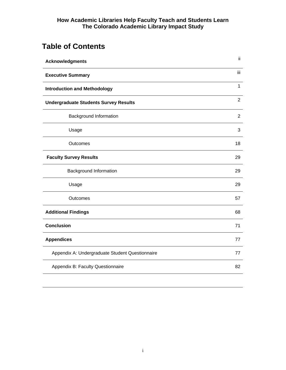# **Table of Contents**

| <b>Acknowledgments</b>                          | ii.            |  |  |  |  |  |  |
|-------------------------------------------------|----------------|--|--|--|--|--|--|
| <b>Executive Summary</b>                        | iii            |  |  |  |  |  |  |
| <b>Introduction and Methodology</b>             |                |  |  |  |  |  |  |
| <b>Undergraduate Students Survey Results</b>    |                |  |  |  |  |  |  |
| Background Information                          | $\overline{2}$ |  |  |  |  |  |  |
| Usage                                           | 3              |  |  |  |  |  |  |
| Outcomes                                        | 18             |  |  |  |  |  |  |
| <b>Faculty Survey Results</b>                   |                |  |  |  |  |  |  |
| Background Information                          | 29             |  |  |  |  |  |  |
| Usage                                           | 29             |  |  |  |  |  |  |
| Outcomes                                        | 57             |  |  |  |  |  |  |
| <b>Additional Findings</b>                      | 68             |  |  |  |  |  |  |
| <b>Conclusion</b>                               | 71             |  |  |  |  |  |  |
| <b>Appendices</b>                               | 77             |  |  |  |  |  |  |
| Appendix A: Undergraduate Student Questionnaire | 77             |  |  |  |  |  |  |
| Appendix B: Faculty Questionnaire               | 82             |  |  |  |  |  |  |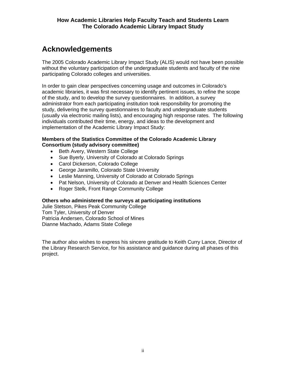# **Acknowledgements**

The 2005 Colorado Academic Library Impact Study (ALIS) would not have been possible without the voluntary participation of the undergraduate students and faculty of the nine participating Colorado colleges and universities.

In order to gain clear perspectives concerning usage and outcomes in Colorado's academic libraries, it was first necessary to identify pertinent issues, to refine the scope of the study, and to develop the survey questionnaires. In addition, a survey administrator from each participating institution took responsibility for promoting the study, delivering the survey questionnaires to faculty and undergraduate students (usually via electronic mailing lists), and encouraging high response rates. The following individuals contributed their time, energy, and ideas to the development and implementation of the Academic Library Impact Study:

#### **Members of the Statistics Committee of the Colorado Academic Library Consortium (study advisory committee)**

- Beth Avery, Western State College
- Sue Byerly, University of Colorado at Colorado Springs
- Carol Dickerson, Colorado College
- George Jaramillo, Colorado State University
- Leslie Manning, University of Colorado at Colorado Springs
- Pat Nelson, University of Colorado at Denver and Health Sciences Center
- Roger Stelk, Front Range Community College

## **Others who administered the surveys at participating institutions**

Julie Stetson, Pikes Peak Community College Tom Tyler, University of Denver Patricia Andersen, Colorado School of Mines Dianne Machado, Adams State College

The author also wishes to express his sincere gratitude to Keith Curry Lance, Director of the Library Research Service, for his assistance and guidance during all phases of this project.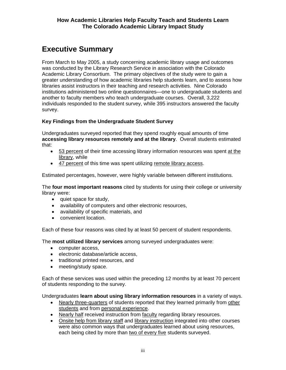# **Executive Summary**

From March to May 2005, a study concerning academic library usage and outcomes was conducted by the Library Research Service in association with the Colorado Academic Library Consortium. The primary objectives of the study were to gain a greater understanding of how academic libraries help students learn, and to assess how libraries assist instructors in their teaching and research activities. Nine Colorado institutions administered two online questionnaires—one to undergraduate students and another to faculty members who teach undergraduate courses. Overall, 3,222 individuals responded to the student survey, while 395 instructors answered the faculty survey.

# **Key Findings from the Undergraduate Student Survey**

Undergraduates surveyed reported that they spend roughly equal amounts of time **accessing library resources remotely and at the library**. Overall students estimated that:

- 53 percent of their time accessing library information resources was spent at the library, while
- 47 percent of this time was spent utilizing remote library access.

Estimated percentages, however, were highly variable between different institutions.

The **four most important reasons** cited by students for using their college or university library were:

- quiet space for study,
- availability of computers and other electronic resources,
- availability of specific materials, and
- convenient location.

Each of these four reasons was cited by at least 50 percent of student respondents.

The **most utilized library services** among surveyed undergraduates were:

- computer access,
- electronic database/article access,
- traditional printed resources, and
- meeting/study space.

Each of these services was used within the preceding 12 months by at least 70 percent of students responding to the survey.

Undergraduates **learn about using library information resources** in a variety of ways.

- Nearly three-quarters of students reported that they learned primarily from other students and from personal experience.
- Nearly half received instruction from faculty regarding library resources.
- Onsite help from library staff and library instruction integrated into other courses were also common ways that undergraduates learned about using resources, each being cited by more than two of every five students surveyed.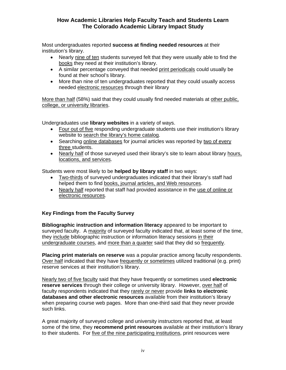Most undergraduates reported **success at finding needed resources** at their institution's library.

- Nearly nine of ten students surveyed felt that they were usually able to find the books they need at their institution's library.
- A similar percentage conveyed that needed print periodicals could usually be found at their school's library.
- More than nine of ten undergraduates reported that they could usually access needed electronic resources through their library

More than half (58%) said that they could usually find needed materials at other public, college, or university libraries.

Undergraduates use **library websites** in a variety of ways.

- Four out of five responding undergraduate students use their institution's library website to search the library's home catalog.
- Searching online databases for journal articles was reported by two of every three students.
- Nearly half of those surveyed used their library's site to learn about library hours, locations, and services.

Students were most likely to be **helped by library staff** in two ways:

- Two-thirds of surveyed undergraduates indicated that their library's staff had helped them to find books, journal articles, and Web resources.
- Nearly half reported that staff had provided assistance in the use of online or electronic resources.

## **Key Findings from the Faculty Survey**

**Bibliographic instruction and information literacy** appeared to be important to surveyed faculty. A majority of surveyed faculty indicated that, at least some of the time, they include bibliographic instruction or information literacy sessions in their undergraduate courses, and more than a quarter said that they did so frequently.

**Placing print materials on reserve** was a popular practice among faculty respondents. Over half indicated that they have frequently or sometimes utilized traditional (e.g. print) reserve services at their institution's library.

Nearly two of five faculty said that they have frequently or sometimes used **electronic reserve services** through their college or university library. However, over half of faculty respondents indicated that they rarely or never provide **links to electronic databases and other electronic resources** available from their institution's library when preparing course web pages. More than one-third said that they never provide such links.

A great majority of surveyed college and university instructors reported that, at least some of the time, they **recommend print resources** available at their institution's library to their students. For five of the nine participating institutions, print resources were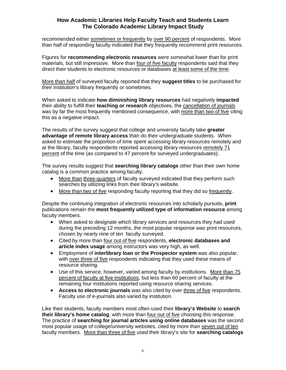recommended either sometimes or frequently by over 90 percent of respondents. More than half of responding faculty indicated that they frequently recommend print resources.

Figures for **recommending electronic resources** were somewhat lower than for print materials, but still impressive. More than four of five faculty respondents said that they direct their students to electronic resources or databases at least some of the time.

More than half of surveyed faculty reported that they **suggest titles** to be purchased for their institution's library frequently or sometimes.

When asked to indicate **how diminishing library resources** had negatively **impacted** their ability to fulfill their **teaching or research** objectives, the cancellation of journals was by far the most frequently mentioned consequence, with more than two of five citing this as a negative impact.

The results of the survey suggest that college and university faculty take **greater advantage of remote library access** than do their undergraduate students. When asked to estimate the proportion of time spent accessing library resources remotely and at the library, faculty respondents reported accessing library resources remotely 71 percent of the time (as compared to 47 percent for surveyed undergraduates).

The survey results suggest that **searching library catalogs** other than their own home catalog is a common practice among faculty.

- More than three-quarters of faculty surveyed indicated that they perform such searches by utilizing links from their library's website.
- More than two of five responding faculty reporting that they did so frequently.

Despite the continuing integration of electronic resources into scholarly pursuits, **print**  publications remain the **most frequently utilized type of information resource** among faculty members.

- When asked to designate which library services and resources they had used during the preceding 12 months, the most popular response was print resources, chosen by nearly nine of ten faculty surveyed.
- Cited by more than four out of five respondents, **electronic databases and article index usage** among instructors was very high, as well.
- Employment of **interlibrary loan or the Prospector system** was also popular, with over three of five respondents indicating that they used these means of resource sharing.
- Use of this service, however, varied among faculty by institutions. More than 75 percent of faculty at five institutions, but less than 60 percent of faculty at the remaining four institutions reported using resource sharing services.
- **Access to electronic journals** was also cited by over three of five respondents. Faculty use of e-journals also varied by institution.

Like their students, faculty members most often used their **library's Website** to **search their library's home catalog**, with more than four out of five choosing this response. The practice of **searching for journal articles using online databases** was the second most popular usage of college/university websites, cited by more than seven out of ten faculty members. More than three of five used their library's site for **searching catalogs**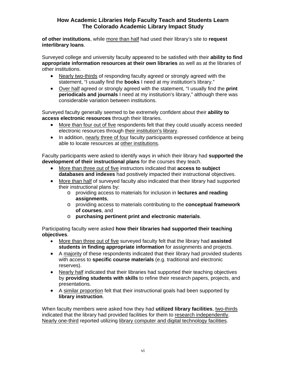**of other institutions**, while more than half had used their library's site to **request interlibrary loans**.

Surveyed college and university faculty appeared to be satisfied with their **ability to find appropriate information resources at their own libraries** as well as at the libraries of other institutions.

- Nearly two-thirds of responding faculty agreed or strongly agreed with the statement, "I usually find the **books** I need at my institution's library."
- Over half agreed or strongly agreed with the statement, "I usually find the **print periodicals and journals** I need at my institution's library," although there was considerable variation between institutions.

Surveyed faculty generally seemed to be extremely confident about their **ability to access electronic resources** through their libraries.

- More than four out of five respondents felt that they could usually access needed electronic resources through their institution's library.
- In addition, nearly three of four faculty participants expressed confidence at being able to locate resources at other institutions.

Faculty participants were asked to identify ways in which their library had **supported the development of their instructional plans** for the courses they teach.

- More than three out of five instructors indicated that **access to subject databases and indexes** had positively impacted their instructional objectives.
- More than half of surveyed faculty also indicated that their library had supported their instructional plans by:
	- o providing access to materials for inclusion in **lectures and reading assignments**,
	- o providing access to materials contributing to the **conceptual framework of courses**, and
	- o **purchasing pertinent print and electronic materials**.

Participating faculty were asked **how their libraries had supported their teaching objectives**.

- More than three out of five surveyed faculty felt that the library had **assisted students in finding appropriate information** for assignments and projects.
- A majority of these respondents indicated that their library had provided students with access to **specific course materials** (e.g. traditional and electronic reserves).
- Nearly half indicated that their libraries had supported their teaching objectives by **providing students with skills** to refine their research papers, projects, and presentations.
- A similar proportion felt that their instructional goals had been supported by **library instruction**.

When faculty members were asked how they had **utilized library facilities**, two-thirds indicated that the library had provided facilities for them to research independently. Nearly one-third reported utilizing library computer and digital technology facilities.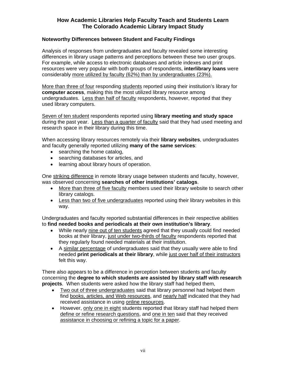#### **Noteworthy Differences between Student and Faculty Findings**

Analysis of responses from undergraduates and faculty revealed some interesting differences in library usage patterns and perceptions between these two user groups. For example, while access to electronic databases and article indexes and print resources were very popular with both groups of respondents, **interlibrary loans** were considerably more utilized by faculty (62%) than by undergraduates (23%).

More than three of four responding students reported using their institution's library for **computer access**, making this the most utilized library resource among undergraduates. Less than half of faculty respondents, however, reported that they used library computers.

Seven of ten student respondents reported using **library meeting and study space** during the past year. Less than a quarter of faculty said that they had used meeting and research space in their library during this time.

When accessing library resources remotely via their **library websites**, undergraduates and faculty generally reported utilizing **many of the same services**:

- searching the home catalog,
- searching databases for articles, and
- learning about library hours of operation.

One striking difference in remote library usage between students and faculty, however, was observed concerning **searches of other institutions' catalogs**.

- More than three of five faculty members used their library website to search other library catalogs.
- Less than two of five undergraduates reported using their library websites in this way.

Undergraduates and faculty reported substantial differences in their respective abilities to **find needed books and periodicals at their own institution's library**.

- While nearly nine out of ten students agreed that they usually could find needed books at their library, just under two-thirds of faculty respondents reported that they regularly found needed materials at their institution.
- A similar percentage of undergraduates said that they usually were able to find needed **print periodicals at their library**, while just over half of their instructors felt this way.

There also appears to be a difference in perception between students and faculty concerning the **degree to which students are assisted by library staff with research projects**. When students were asked how the library staff had helped them,

- Two out of three undergraduates said that library personnel had helped them find books, articles, and Web resources, and nearly half indicated that they had received assistance in using online resources.
- However, only one in eight students reported that library staff had helped them define or refine research questions, and one in ten said that they received assistance in choosing or refining a topic for a paper.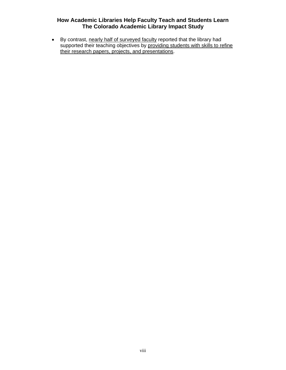• By contrast, nearly half of surveyed faculty reported that the library had supported their teaching objectives by providing students with skills to refine their research papers, projects, and presentations.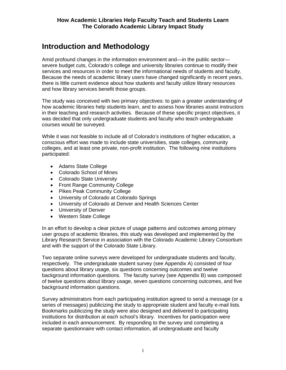# **Introduction and Methodology**

Amid profound changes in the information environment and—in the public sector severe budget cuts, Colorado's college and university libraries continue to modify their services and resources in order to meet the informational needs of students and faculty. Because the needs of academic library users have changed significantly in recent years, there is little current evidence about how students and faculty utilize library resources and how library services benefit those groups.

The study was conceived with two primary objectives: to gain a greater understanding of how academic libraries help students learn, and to assess how libraries assist instructors in their teaching and research activities. Because of these specific project objectives, it was decided that only undergraduate students and faculty who teach undergraduate courses would be surveyed.

While it was not feasible to include all of Colorado's institutions of higher education, a conscious effort was made to include state universities, state colleges, community colleges, and at least one private, non-profit institution. The following nine institutions participated:

- Adams State College
- Colorado School of Mines
- Colorado State University
- Front Range Community College
- Pikes Peak Community College
- University of Colorado at Colorado Springs
- University of Colorado at Denver and Health Sciences Center
- University of Denver
- Western State College

In an effort to develop a clear picture of usage patterns and outcomes among primary user groups of academic libraries, this study was developed and implemented by the Library Research Service in association with the Colorado Academic Library Consortium and with the support of the Colorado State Library.

Two separate online surveys were developed for undergraduate students and faculty, respectively. The undergraduate student survey (see Appendix A) consisted of four questions about library usage, six questions concerning outcomes and twelve background information questions. The faculty survey (see Appendix B) was composed of twelve questions about library usage, seven questions concerning outcomes, and five background information questions.

Survey administrators from each participating institution agreed to send a message (or a series of messages) publicizing the study to appropriate student and faculty e-mail lists. Bookmarks publicizing the study were also designed and delivered to participating institutions for distribution at each school's library. Incentives for participation were included in each announcement. By responding to the survey and completing a separate questionnaire with contact information, all undergraduate and faculty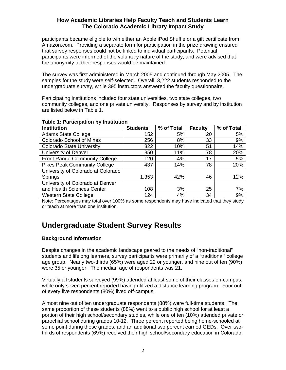participants became eligible to win either an Apple iPod Shuffle or a gift certificate from Amazon.com. Providing a separate form for participation in the prize drawing ensured that survey responses could not be linked to individual participants. Potential participants were informed of the voluntary nature of the study, and were advised that the anonymity of their responses would be maintained.

The survey was first administered in March 2005 and continued through May 2005. The samples for the study were self-selected. Overall, 3,222 students responded to the undergraduate survey, while 395 instructors answered the faculty questionnaire.

Participating institutions included four state universities, two state colleges, two community colleges, and one private university. Responses by survey and by institution are listed below in Table 1.

| <b>Institution</b>                   | <b>Students</b> | % of Total | <b>Faculty</b> | % of Total |
|--------------------------------------|-----------------|------------|----------------|------------|
| <b>Adams State College</b>           | 152             | 5%         | 20             | 5%         |
| <b>Colorado School of Mines</b>      | 256             | 8%         | 33             | 9%         |
| <b>Colorado State University</b>     | 322             | 10%        | 51             | 14%        |
| University of Denver                 | 350             | 11%        | 78             | 20%        |
| <b>Front Range Community College</b> | 120             | 4%         | 17             | 5%         |
| <b>Pikes Peak Community College</b>  | 437             | 14%        | 78             | 20%        |
| University of Colorado at Colorado   |                 |            |                |            |
| Springs                              | 1,353           | 42%        | 46             | 12%        |
| University of Colorado at Denver     |                 |            |                |            |
| and Health Sciences Center           | 108             | 3%         | 25             | 7%         |
| <b>Western State College</b>         | 124             | 4%         | 34             | 9%         |

#### **Table 1: Participation by Institution**

Note: Percentages may total over 100% as some respondents may have indicated that they study or teach at more than one institution.

# **Undergraduate Student Survey Results**

## **Background Information**

Despite changes in the academic landscape geared to the needs of "non-traditional" students and lifelong learners, survey participants were primarily of a "traditional" college age group. Nearly two-thirds (65%) were aged 22 or younger, and nine out of ten (90%) were 35 or younger. The median age of respondents was 21.

Virtually all students surveyed (99%) attended at least some of their classes on-campus, while only seven percent reported having utilized a distance learning program. Four out of every five respondents (80%) lived off-campus.

Almost nine out of ten undergraduate respondents (88%) were full-time students. The same proportion of these students (88%) went to a public high school for at least a portion of their high school/secondary studies, while one of ten (10%) attended private or parochial school during grades 10-12. Three percent reported being home-schooled at some point during those grades, and an additional two percent earned GEDs. Over twothirds of respondents (69%) received their high school/secondary education in Colorado.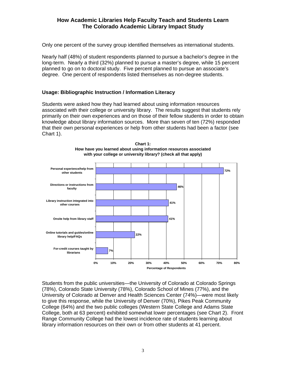Only one percent of the survey group identified themselves as international students.

Nearly half (48%) of student respondents planned to pursue a bachelor's degree in the long-term. Nearly a third (32%) planned to pursue a master's degree, while 15 percent planned to go on to doctoral study. Five percent planned to pursue an associate's degree. One percent of respondents listed themselves as non-degree students.

#### **Usage: Bibliographic Instruction / Information Literacy**

Students were asked how they had learned about using information resources associated with their college or university library. The results suggest that students rely primarily on their own experiences and on those of their fellow students in order to obtain knowledge about library information sources. More than seven of ten (72%) responded that their own personal experiences or help from other students had been a factor (see Chart 1).





Students from the public universities—the University of Colorado at Colorado Springs (78%), Colorado State University (78%), Colorado School of Mines (77%), and the University of Colorado at Denver and Health Sciences Center (74%)—were most likely to give this response, while the University of Denver (70%), Pikes Peak Community College (64%) and the two public colleges (Western State College and Adams State College, both at 63 percent) exhibited somewhat lower percentages (see Chart 2). Front Range Community College had the lowest incidence rate of students learning about library information resources on their own or from other students at 41 percent.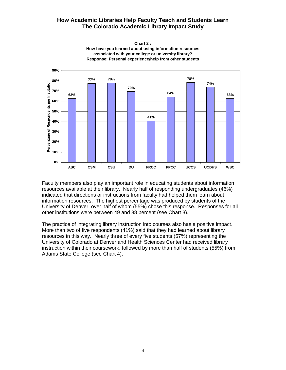

**Chart 2 : How have you learned about using information resources associated with your college or university library? Response: Personal experience/help from other students**

Faculty members also play an important role in educating students about information resources available at their library. Nearly half of responding undergraduates (46%) indicated that directions or instructions from faculty had helped them learn about information resources. The highest percentage was produced by students of the University of Denver, over half of whom (55%) chose this response. Responses for all other institutions were between 49 and 38 percent (see Chart 3).

The practice of integrating library instruction into courses also has a positive impact. More than two of five respondents (41%) said that they had learned about library resources in this way. Nearly three of every five students (57%) representing the University of Colorado at Denver and Health Sciences Center had received library instruction within their coursework, followed by more than half of students (55%) from Adams State College (see Chart 4).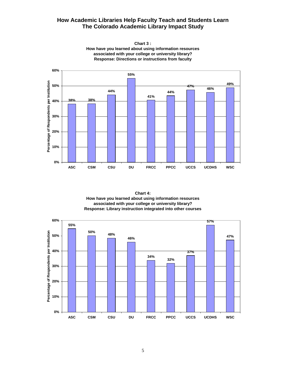

**Chart 3 : How have you learned about using information resources associated with your college or university library? Response: Directions or instructions from faculty**

**Chart 4: How have you learned about using information resources associated with your college or university library? Response: Library instruction integrated into other courses**

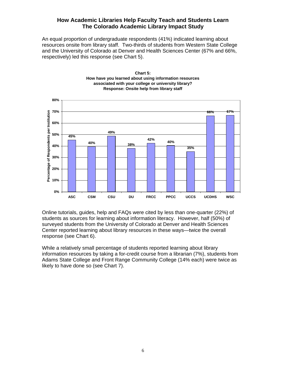An equal proportion of undergraduate respondents (41%) indicated learning about resources onsite from library staff. Two-thirds of students from Western State College and the University of Colorado at Denver and Health Sciences Center (67% and 66%, respectively) led this response (see Chart 5).



**42% 40%**

**35%**

**38%**

**45%**

**0%**

**10%**

**20%**

**30%**

**40%**

**Percentage of Respondents per Institution**

Percentage of Respondents per Institution

**50%**

**60%**

**70%**

**80%**

**40%**

**49%**



Online tutorials, guides, help and FAQs were cited by less than one-quarter (22%) of students as sources for learning about information literacy. However, half (50%) of surveyed students from the University of Colorado at Denver and Health Sciences Center reported learning about library resources in these ways—twice the overall response (see Chart 6).

**ASC CSM CSU DU FRCC PPCC UCCS UCDHS WSC**

While a relatively small percentage of students reported learning about library information resources by taking a for-credit course from a librarian (7%), students from Adams State College and Front Range Community College (14% each) were twice as likely to have done so (see Chart 7).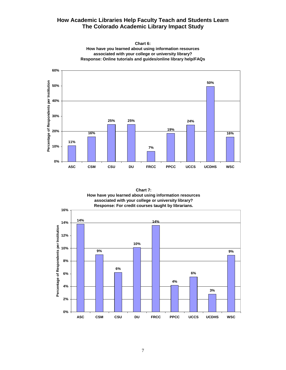



**Chart 7: How have you learned about using information resources associated with your college or university library? Response: For credit courses taught by librarians.**

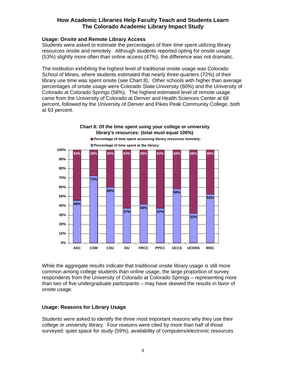#### **Usage: Onsite and Remote Library Access**

Students were asked to estimate the percentages of their time spent utilizing library resources onsite and remotely. Although students reported opting for onsite usage (53%) slightly more often than online access (47%), the difference was not dramatic.

The institution exhibiting the highest level of traditional onsite usage was Colorado School of Mines, where students estimated that nearly three-quarters (72%) of their library use time was spent onsite (see Chart 8). Other schools with higher than average percentages of onsite usage were Colorado State University (60%) and the University of Colorado at Colorado Springs (58%). The highest estimated level of remote usage came from the University of Colorado at Denver and Health Sciences Center at 68 percent, followed by the University of Denver and Pikes Peak Community College, both at 63 percent.



While the aggregate results indicate that traditional onsite library usage is still more common among college students than online usage, the large proportion of survey respondents from the University of Colorado at Colorado Springs – representing more than two of five undergraduate participants – may have skewed the results in favor of onsite usage.

#### **Usage: Reasons for Library Usage**

Students were asked to identify the three most important reasons why they use their college or university library. Four reasons were cited by more than half of those surveyed: quiet space for study (59%), availability of computers/electronic resources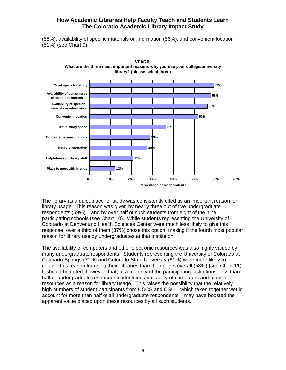(58%), availability of specific materials or information (56%), and convenient location (51%) (see Chart 9).





The library as a quiet place for study was consistently cited as an important reason for library usage. This reason was given by nearly three out of five undergraduate respondents (59%) – and by over half of such students from eight of the nine participating schools (see Chart 10). While students representing the University of Colorado at Denver and Health Sciences Center were much less likely to give this response, over a third of them (37%) chose this option, making it the fourth most popular reason for library use by undergraduates at that institution.

The availability of computers and other electronic resources was also highly valued by many undergraduate respondents. Students representing the University of Colorado at Colorado Springs (71%) and Colorado State University (61%) were more likely to choose this reason for using their libraries than their peers overall (58%) (see Chart 11). It should be noted, however, that, at a majority of the participating institutions, less than half of undergraduate respondents identified availability of computers and other eresources as a reason for library usage. This raises the possibility that the relatively high numbers of student participants from UCCS and CSU – which taken together would account for more than half of all undergraduate respondents – may have boosted the apparent value placed upon these resources by all such students.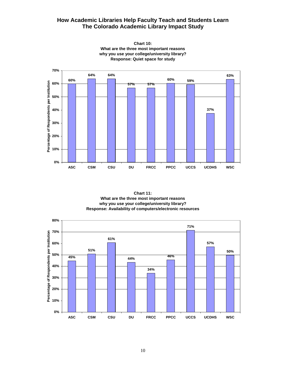

**Chart 10: What are the three most important reasons why you use your college/university library? Response: Quiet space for study**

**Chart 11: What are the three most important reasons why you use your college/university library? Response: Availability of computers/electronic resources**

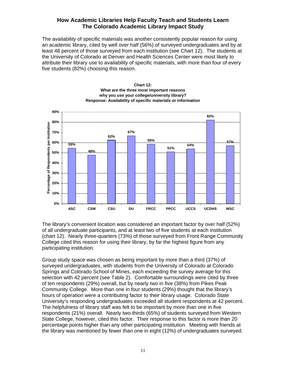The availability of specific materials was another consistently popular reason for using an academic library, cited by well over half (56%) of surveyed undergraduates and by at least 48 percent of those surveyed from each institution (see Chart 12). The students at the University of Colorado at Denver and Health Sciences Center were most likely to attribute their library use to availability of specific materials, with more than four of every five students (82%) choosing this reason.



**Chart 12: What are the three most important reasons why you use your college/university library? Response: Availability of specific materials or information**

The library's convenient location was considered an important factor by over half (52%) of all undergraduate participants, and at least two of five students at each institution (chart 12). Nearly three-quarters (73%) of those surveyed from Front Range Community College cited this reason for using their library, by far the highest figure from any participating institution.

Group study space was chosen as being important by more than a third (37%) of surveyed undergraduates, with students from the University of Colorado at Colorado Springs and Colorado School of Mines, each exceeding the survey average for this selection with 42 percent (see Table 2). Comfortable surroundings were cited by three of ten respondents (29%) overall, but by nearly two in five (38%) from Pikes Peak Community College. More than one in four students (29%) thought that the library's hours of operation were a contributing factor to their library usage. Colorado State University's responding undergraduates exceeded all student respondents at 42 percent. The helpfulness of library staff was felt to be important by more than one in five respondents (21%) overall. Nearly two-thirds (65%) of students surveyed from Western State College, however, cited this factor. Their response to this factor is more than 20 percentage points higher than any other participating institution. Meeting with friends at the library was mentioned by fewer than one in eight (12%) of undergraduates surveyed.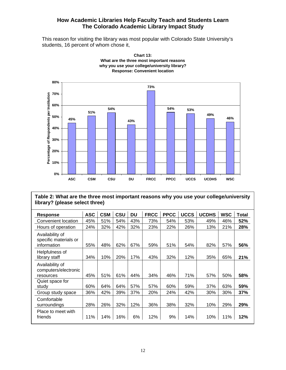This reason for visiting the library was most popular with Colorado State University's students, 16 percent of whom chose it,



# **Chart 13: What are the three most important reasons why you use your college/university library?**

#### **Table 2: What are the three most important reasons why you use your college/university library? (please select three)**

| <b>Response</b>                                         | <b>ASC</b> | <b>CSM</b> | CSU | <b>DU</b> | <b>FRCC</b> | <b>PPCC</b> | <b>UCCS</b> | <b>UCDHS</b> | <b>WSC</b> | Total |
|---------------------------------------------------------|------------|------------|-----|-----------|-------------|-------------|-------------|--------------|------------|-------|
| Convenient location                                     | 45%        | 51%        | 54% | 43%       | 73%         | 54%         | 53%         | 49%          | 46%        | 52%   |
| Hours of operation                                      | 24%        | 32%        | 42% | 32%       | 23%         | 22%         | 26%         | 13%          | 21%        | 28%   |
| Availability of<br>specific materials or<br>information | 55%        | 48%        | 62% | 67%       | 59%         | 51%         | 54%         | 82%          | 57%        | 56%   |
| Helpfulness of<br>library staff                         | 34%        | 10%        | 20% | 17%       | 43%         | 32%         | 12%         | 35%          | 65%        | 21%   |
| Availability of<br>computers/electronic<br>resources    | 45%        | 51%        | 61% | 44%       | 34%         | 46%         | 71%         | 57%          | 50%        | 58%   |
| Quiet space for<br>study                                | 60%        | 64%        | 64% | 57%       | 57%         | 60%         | 59%         | 37%          | 63%        | 59%   |
| Group study space                                       | 36%        | 42%        | 39% | 37%       | 20%         | 24%         | 42%         | 30%          | 30%        | 37%   |
| Comfortable<br>surroundings                             | 28%        | 26%        | 32% | 12%       | 36%         | 38%         | 32%         | 10%          | 29%        | 29%   |
| Place to meet with<br>friends                           | 11%        | 14%        | 16% | 6%        | 12%         | 9%          | 14%         | 10%          | 11%        | 12%   |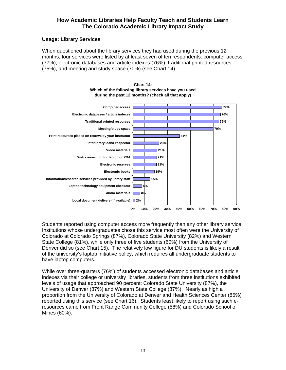#### **Usage: Library Services**

When questioned about the library services they had used during the previous 12 months, four services were listed by at least seven of ten respondents: computer access (77%), electronic databases and article indexes (76%), traditional printed resources (75%), and meeting and study space (70%) (see Chart 14).





Students reported using computer access more frequently than any other library service. Institutions whose undergraduates chose this service most often were the University of Colorado at Colorado Springs (87%), Colorado State University (82%) and Western State College (81%), while only three of five students (60%) from the University of Denver did so (see Chart 15). The relatively low figure for DU students is likely a result of the university's laptop initiative policy, which requires all undergraduate students to have laptop computers.

While over three-quarters (76%) of students accessed electronic databases and article indexes via their college or university libraries, students from three institutions exhibited levels of usage that approached 90 percent: Colorado State University (87%), the University of Denver (87%) and Western State College (87%). Nearly as high a proportion from the University of Colorado at Denver and Health Sciences Center (85%) reported using this service (see Chart 16). Students least likely to report using such eresources came from Front Range Community College (58%) and Colorado School of Mines (60%).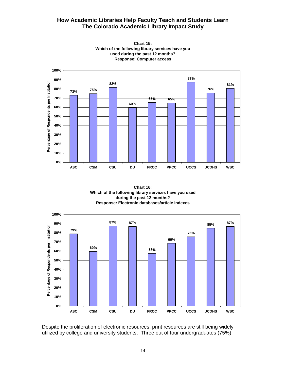







Despite the proliferation of electronic resources, print resources are still being widely utilized by college and university students. Three out of four undergraduates (75%)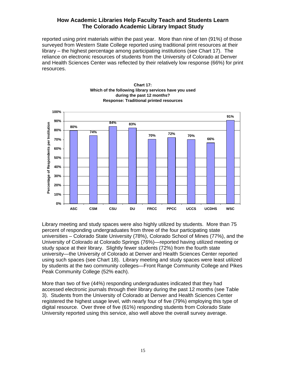reported using print materials within the past year. More than nine of ten (91%) of those surveyed from Western State College reported using traditional print resources at their library – the highest percentage among participating institutions (see Chart 17). The reliance on electronic resources of students from the University of Colorado at Denver and Health Sciences Center was reflected by their relatively low response (66%) for print resources.



**Chart 17: Which of the following library services have you used during the past 12 months? Response: Traditional printed resources**

Library meeting and study spaces were also highly utilized by students. More than 75 percent of responding undergraduates from three of the four participating state universities – Colorado State University (78%), Colorado School of Mines (77%), and the University of Colorado at Colorado Springs (76%)—reported having utilized meeting or study space at their library. Slightly fewer students (72%) from the fourth state university—the University of Colorado at Denver and Health Sciences Center reported using such spaces (see Chart 18). Library meeting and study spaces were least utilized by students at the two community colleges—Front Range Community College and Pikes Peak Community College (52% each).

More than two of five (44%) responding undergraduates indicated that they had accessed electronic journals through their library during the past 12 months (see Table 3). Students from the University of Colorado at Denver and Health Sciences Center registered the highest usage level, with nearly four of five (79%) employing this type of digital resource. Over three of five (61%) responding students from Colorado State University reported using this service, also well above the overall survey average.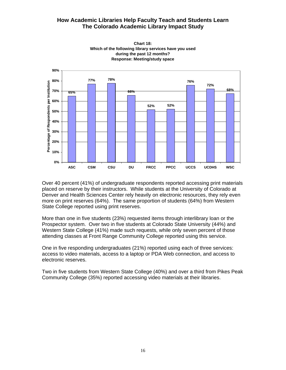

**Chart 18: Which of the following library services have you used during the past 12 months? Response: Meeting/study space**

Over 40 percent (41%) of undergraduate respondents reported accessing print materials placed on reserve by their instructors. While students at the University of Colorado at Denver and Health Sciences Center rely heavily on electronic resources, they rely even more on print reserves (64%). The same proportion of students (64%) from Western State College reported using print reserves.

More than one in five students (23%) requested items through interlibrary loan or the Prospector system. Over two in five students at Colorado State University (44%) and Western State College (41%) made such requests, while only seven percent of those attending classes at Front Range Community College reported using this service.

One in five responding undergraduates (21%) reported using each of three services: access to video materials, access to a laptop or PDA Web connection, and access to electronic reserves.

Two in five students from Western State College (40%) and over a third from Pikes Peak Community College (35%) reported accessing video materials at their libraries.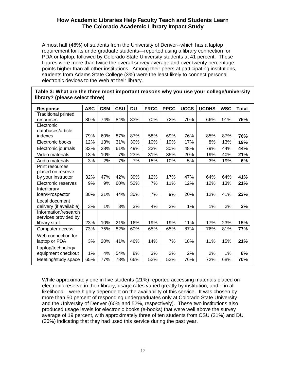Almost half (46%) of students from the University of Denver--which has a laptop requirement for its undergraduate students—reported using a library connection for PDA or laptop, followed by Colorado State University students at 41 percent. These figures were more than twice the overall survey average and over twenty percentage points higher than all other institutions. Among their peers at participating institutions, students from Adams State College (3%) were the least likely to connect personal electronic devices to the Web at their library.

|                                | Table 3: What are the three most important reasons why you use your college/university |
|--------------------------------|----------------------------------------------------------------------------------------|
| library? (please select three) |                                                                                        |

| <b>Response</b>            | <b>ASC</b> | <b>CSM</b> | <b>CSU</b> | <b>DU</b> | <b>FRCC</b> | <b>PPCC</b> | <b>UCCS</b> | <b>UCDHS</b> | <b>WSC</b> | <b>Total</b> |
|----------------------------|------------|------------|------------|-----------|-------------|-------------|-------------|--------------|------------|--------------|
| <b>Traditional printed</b> |            |            |            |           |             |             |             |              |            |              |
| resources                  | 80%        | 74%        | 84%        | 83%       | 70%         | 72%         | 70%         | 66%          | 91%        | 75%          |
| Electronic                 |            |            |            |           |             |             |             |              |            |              |
| databases/article          |            |            |            |           |             |             |             |              |            |              |
| indexes                    | 79%        | 60%        | 87%        | 87%       | 58%         | 69%         | 76%         | 85%          | 87%        | 76%          |
| Electronic books           | 12%        | 13%        | 31%        | 30%       | 10%         | 19%         | 17%         | 8%           | 13%        | 19%          |
| Electronic journals        | 33%        | 28%        | 61%        | 49%       | 22%         | 30%         | 48%         | 79%          | 44%        | 44%          |
| Video materials            | 13%        | 10%        | 7%         | 23%       | 31%         | 35%         | 20%         | 19%          | 40%        | 21%          |
| Audio materials            | 3%         | 2%         | 7%         | 7%        | 15%         | 10%         | 5%          | 3%           | 19%        | 6%           |
| Print resources            |            |            |            |           |             |             |             |              |            |              |
| placed on reserve          |            |            |            |           |             |             |             |              |            |              |
| by your instructor         | 32%        | 47%        | 42%        | 39%       | 12%         | 17%         | 47%         | 64%          | 64%        | 41%          |
| Electronic reserves        | 9%         | 9%         | 60%        | 52%       | 7%          | 11%         | 12%         | 12%          | 13%        | 21%          |
| Interlibrary               |            |            |            |           |             |             |             |              |            |              |
| loan/Prospector            | 30%        | 21%        | 44%        | 30%       | 7%          | 9%          | 20%         | 12%          | 41%        | 23%          |
| Local document             |            |            |            |           |             |             |             |              |            |              |
| delivery (if available)    | 3%         | 1%         | 3%         | 3%        | 4%          | 2%          | 1%          | 1%           | 2%         | 2%           |
| Information/research       |            |            |            |           |             |             |             |              |            |              |
| services provided by       |            |            |            |           |             |             |             |              |            |              |
| library staff              | 23%        | 10%        | 21%        | 16%       | 19%         | 19%         | 11%         | 17%          | 23%        | 15%          |
| Computer access            | 73%        | 75%        | 82%        | 60%       | 65%         | 65%         | 87%         | 76%          | 81%        | 77%          |
| Web connection for         |            |            |            |           |             |             |             |              |            |              |
| laptop or PDA              | 3%         | 20%        | 41%        | 46%       | 14%         | 7%          | 18%         | 11%          | 15%        | 21%          |
| Laptop/technology          |            |            |            |           |             |             |             |              |            |              |
| equipment checkout         | 1%         | 4%         | 54%        | 8%        | 3%          | 2%          | 2%          | 2%           | 1%         | 8%           |
| Meeting/study space        | 65%        | 77%        | 78%        | 66%       | 52%         | 52%         | 76%         | 72%          | 68%        | 70%          |

While approximately one in five students (21%) reported accessing materials placed on electronic reserve in their library, usage rates varied greatly by institution, and – in all likelihood – were highly dependent on the availability of this service. It was chosen by more than 50 percent of responding undergraduates only at Colorado State University and the University of Denver (60% and 52%, respectively). These two institutions also produced usage levels for electronic books (e-books) that were well above the survey average of 19 percent, with approximately three of ten students from CSU (31%) and DU (30%) indicating that they had used this service during the past year.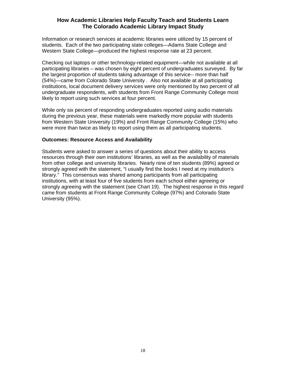Information or research services at academic libraries were utilized by 15 percent of students. Each of the two participating state colleges—Adams State College and Western State College—produced the highest response rate at 23 percent.

Checking out laptops or other technology-related equipment—while not available at all participating libraries – was chosen by eight percent of undergraduates surveyed. By far the largest proportion of students taking advantage of this service-- more than half (54%)—came from Colorado State University . Also not available at all participating institutions, local document delivery services were only mentioned by two percent of all undergraduate respondents, with students from Front Range Community College most likely to report using such services at four percent.

While only six percent of responding undergraduates reported using audio materials during the previous year, these materials were markedly more popular with students from Western State University (19%) and Front Range Community College (15%) who were more than twice as likely to report using them as all participating students.

#### **Outcomes: Resource Access and Availability**

Students were asked to answer a series of questions about their ability to access resources through their own institutions' libraries, as well as the availability of materials from other college and university libraries. Nearly nine of ten students (89%) agreed or strongly agreed with the statement, "I usually find the books I need at my institution's library." This consensus was shared among participants from all participating institutions, with at least four of five students from each school either agreeing or strongly agreeing with the statement (see Chart 19). The highest response in this regard came from students at Front Range Community College (97%) and Colorado State University (95%).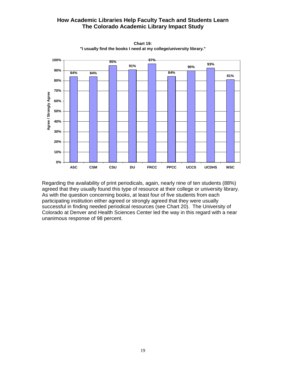

**Chart 19: "I usually find the books I need at my college/university library."**

Regarding the availability of print periodicals, again, nearly nine of ten students (88%) agreed that they usually found this type of resource at their college or university library. As with the question concerning books, at least four of five students from each participating institution either agreed or strongly agreed that they were usually successful in finding needed periodical resources (see Chart 20). The University of Colorado at Denver and Health Sciences Center led the way in this regard with a near unanimous response of 98 percent.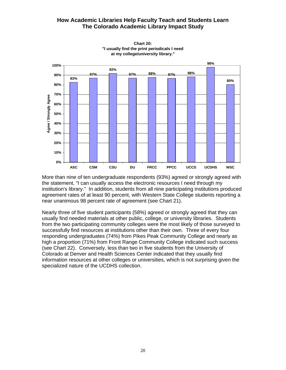

**Chart 20: "I usually find the print periodicals I need at my college/university library."**

More than nine of ten undergraduate respondents (93%) agreed or strongly agreed with the statement, "I can usually access the electronic resources I need through my institution's library." In addition, students from all nine participating institutions produced agreement rates of at least 90 percent, with Western State College students reporting a near unanimous 98 percent rate of agreement (see Chart 21).

Nearly three of five student participants (58%) agreed or strongly agreed that they can usually find needed materials at other public, college, or university libraries. Students from the two participating community colleges were the most likely of those surveyed to successfully find resources at institutions other than their own. Three of every four responding undergraduates (74%) from Pikes Peak Community College and nearly as high a proportion (71%) from Front Range Community College indicated such success (see Chart 22). Conversely, less than two in five students from the University of Colorado at Denver and Health Sciences Center indicated that they usually find information resources at other colleges or universities, which is not surprising given the specialized nature of the UCDHS collection.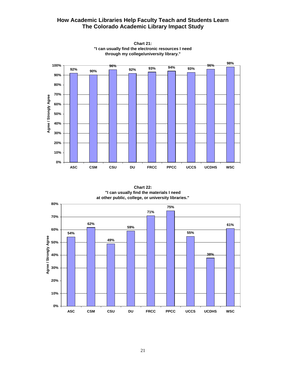

**Chart 21: "I can usually find the electronic resources I need through my college/university library."**

**Chart 22: "I can usually find the materials I need at other public, college, or university libraries."**

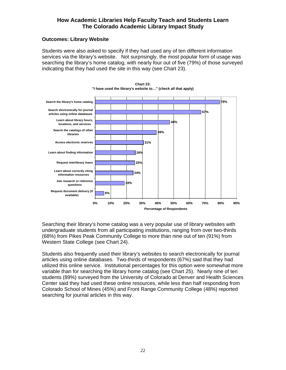#### **Outcomes: Library Website**

Students were also asked to specify if they had used any of ten different information services via the library's website. Not surprisingly, the most popular form of usage was searching the library's home catalog, with nearly four out of five (79%) of those surveyed indicating that they had used the site in this way (see Chart 23).





Searching their library's home catalog was a very popular use of library websites with undergraduate students from all participating institutions, ranging from over two-thirds (68%) from Pikes Peak Community College to more than nine out of ten (91%) from Western State College (see Chart 24).

Students also frequently used their library's websites to search electronically for journal articles using online databases. Two-thirds of respondents (67%) said that they had utilized this online service. Institutional percentages for this option were somewhat more variable than for searching the library home catalog (see Chart 25). Nearly nine of ten students (89%) surveyed from the University of Colorado at Denver and Health Sciences Center said they had used these online resources, while less than half responding from Colorado School of Mines (45%) and Front Range Community College (48%) reported searching for journal articles in this way.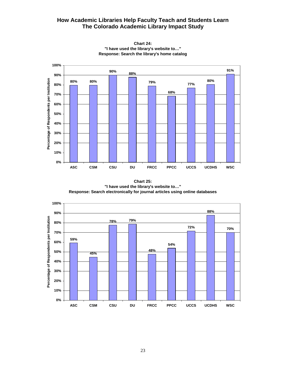

**Chart 24: "I have used the library's website to…" Response: Search the library's home catalog**



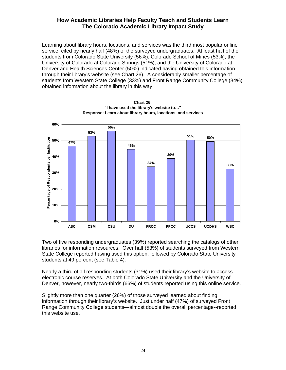Learning about library hours, locations, and services was the third most popular online service, cited by nearly half (48%) of the surveyed undergraduates. At least half of the students from Colorado State University (56%), Colorado School of Mines (53%), the University of Colorado at Colorado Springs (51%), and the University of Colorado at Denver and Health Sciences Center (50%) indicated having obtained this information through their library's website (see Chart 26). A considerably smaller percentage of students from Western State College (33%) and Front Range Community College (34%) obtained information about the library in this way.



**Chart 26: "I have used the library's website to…" Response: Learn about library hours, locations, and services**

Two of five responding undergraduates (39%) reported searching the catalogs of other libraries for information resources. Over half (53%) of students surveyed from Western State College reported having used this option, followed by Colorado State University students at 49 percent (see Table 4).

Nearly a third of all responding students (31%) used their library's website to access electronic course reserves. At both Colorado State University and the University of Denver, however, nearly two-thirds (66%) of students reported using this online service.

Slightly more than one quarter (26%) of those surveyed learned about finding information through their library's website. Just under half (47%) of surveyed Front Range Community College students—almost double the overall percentage--reported this website use.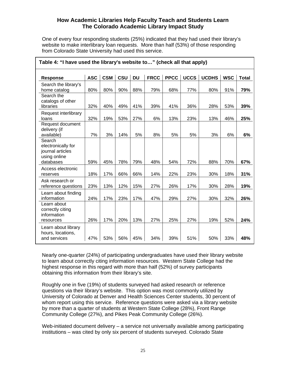One of every four responding students (25%) indicated that they had used their library's website to make interlibrary loan requests. More than half (53%) of those responding from Colorado State University had used this service.

| Thave used the library strepsite to Turned all that apply        |            |            |     |           |             |             |             |              |            |              |
|------------------------------------------------------------------|------------|------------|-----|-----------|-------------|-------------|-------------|--------------|------------|--------------|
| <b>Response</b>                                                  | <b>ASC</b> | <b>CSM</b> | CSU | <b>DU</b> | <b>FRCC</b> | <b>PPCC</b> | <b>UCCS</b> | <b>UCDHS</b> | <b>WSC</b> | <b>Total</b> |
| Search the library's<br>home catalog                             | 80%        | 80%        | 90% | 88%       | 79%         | 68%         | 77%         | 80%          | 91%        | 79%          |
| Search the<br>catalogs of other<br>libraries                     | 32%        | 40%        | 49% | 41%       | 39%         | 41%         | 36%         | 28%          | 53%        | 39%          |
| Request interlibrary<br>loans                                    | 32%        | 19%        | 53% | 27%       | 6%          | 13%         | 23%         | 13%          | 46%        | 25%          |
| Request document<br>delivery (if<br>available)                   | 7%         | 3%         | 14% | 5%        | 8%          | 5%          | 5%          | 3%           | 6%         | 6%           |
| Search<br>electronically for<br>journal articles<br>using online |            |            |     |           |             |             |             |              |            |              |
| databases                                                        | 59%        | 45%        | 78% | 79%       | 48%         | 54%         | 72%         | 88%          | 70%        | 67%          |
| Access electronic<br>reserves                                    | 18%        | 17%        | 66% | 66%       | 14%         | 22%         | 23%         | 30%          | 18%        | 31%          |
| Ask research or<br>reference questions                           | 23%        | 13%        | 12% | 15%       | 27%         | 26%         | 17%         | 30%          | 28%        | 19%          |
| Learn about finding<br>information                               | 24%        | 17%        | 23% | 17%       | 47%         | 29%         | 27%         | 30%          | 32%        | 26%          |
| Learn about<br>correctly citing<br>information<br>resources      | 26%        | 17%        | 20% | 13%       | 27%         | 25%         | 27%         | 19%          | 52%        | 24%          |
| Learn about library<br>hours, locations,<br>and services         | 47%        | 53%        | 56% | 45%       | 34%         | 39%         | 51%         | 50%          | 33%        | 48%          |

#### **Table 4: "I have used the library's website to…" (check all that apply)**

Nearly one-quarter (24%) of participating undergraduates have used their library website to learn about correctly citing information resources. Western State College had the highest response in this regard with more than half (52%) of survey participants obtaining this information from their library's site.

Roughly one in five (19%) of students surveyed had asked research or reference questions via their library's website. This option was most commonly utilized by University of Colorado at Denver and Health Sciences Center students, 30 percent of whom report using this service. Reference questions were asked via a library website by more than a quarter of students at Western State College (28%), Front Range Community College (27%), and Pikes Peak Community College (26%).

Web-initiated document delivery – a service not universally available among participating institutions – was cited by only six percent of students surveyed. Colorado State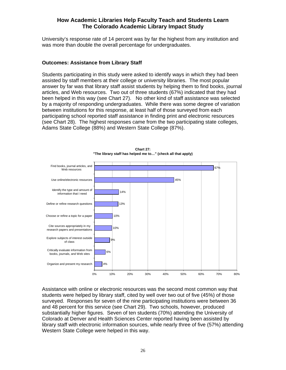University's response rate of 14 percent was by far the highest from any institution and was more than double the overall percentage for undergraduates.

#### **Outcomes: Assistance from Library Staff**

Students participating in this study were asked to identify ways in which they had been assisted by staff members at their college or university libraries. The most popular answer by far was that library staff assist students by helping them to find books, journal articles, and Web resources. Two out of three students (67%) indicated that they had been helped in this way (see Chart 27). No other kind of staff assistance was selected by a majority of responding undergraduates. While there was some degree of variation between institutions for this response, at least half of those surveyed from each participating school reported staff assistance in finding print and electronic resources (see Chart 28). The highest responses came from the two participating state colleges, Adams State College (88%) and Western State College (87%).



**Chart 27: "The library staff has helped me to…" (check all that apply)**

Assistance with online or electronic resources was the second most common way that students were helped by library staff, cited by well over two out of five (45%) of those surveyed. Responses for seven of the nine participating institutions were between 36 and 48 percent for this service (see Chart 29). Two schools, however, produced substantially higher figures. Seven of ten students (70%) attending the University of Colorado at Denver and Health Sciences Center reported having been assisted by library staff with electronic information sources, while nearly three of five (57%) attending Western State College were helped in this way.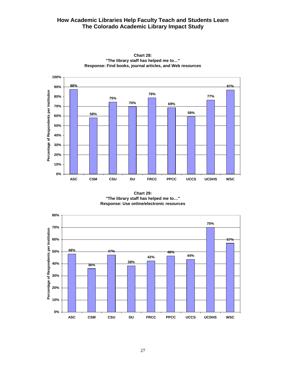

**Chart 28: "The library staff has helped me to…" Response: Find books, journal articles, and Web resources**

**Chart 29: "The library staff has helped me to…" Response: Use online/electronic resources**

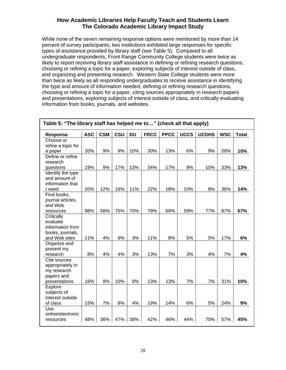While none of the seven remaining response options were mentioned by more than 14 percent of survey participants, two institutions exhibited large responses for specific types of assistance provided by library staff (see Table 5). Compared to all undergraduate respondents, Front Range Community College students were twice as likely to report receiving library staff assistance in defining or refining research questions, choosing or refining a topic for a paper, exploring subjects of interest outside of class, and organizing and presenting research. Western State College students were more than twice as likely as all responding undergraduates to receive assistance in identifying the type and amount of information needed, defining or refining research questions, choosing or refining a topic for a paper, citing sources appropriately in research papers and presentations, exploring subjects of interest outside of class, and critically evaluating information from books, journals, and websites.

| Table 5: "The library staff has helped me to" (check all that apply) |            |            |            |           |             |             |             |              |            |              |
|----------------------------------------------------------------------|------------|------------|------------|-----------|-------------|-------------|-------------|--------------|------------|--------------|
| <b>Response</b>                                                      | <b>ASC</b> | <b>CSM</b> | <b>CSU</b> | <b>DU</b> | <b>FRCC</b> | <b>PPCC</b> | <b>UCCS</b> | <b>UCDHS</b> | <b>WSC</b> | <b>Total</b> |
| Choose or<br>refine a topic for                                      |            |            |            |           |             |             |             |              |            |              |
| a paper                                                              | 20%        | 9%         | $9%$       | 10%       | 30%         | 13%         | 6%          | 9%           | 28%        | 10%          |
| Define or refine<br>research<br>questions                            | 19%        | 9%         | 17%        | 13%       | 34%         | 17%         | 8%          | 10%          | 33%        | 13%          |
| Identify the type<br>and amount of<br>information that<br>I need     | 20%        | 12%        | 16%        | 11%       | 22%         | 18%         | 10%         | 8%           | 36%        | 14%          |
| Find books,<br>journal articles,<br>and Web<br>resources             | 88%        | 58%        | 75%        | 70%       | 79%         | 69%         | 59%         | 77%          | 87%        | 67%          |
| Critically<br>evaluate<br>information from<br>books, journals,       |            |            |            |           |             |             |             |              |            |              |
| and Web sites                                                        | 11%        | 4%         | 6%         | 3%        | 11%         | 8%          | 5%          | 5%           | 17%        | 6%           |
| Organize and<br>present my<br>research                               | 8%         | 4%         | 4%         | 3%        | 13%         | 7%          | 3%          | 4%           | 7%         | 4%           |
| Cite sources<br>appropriately in<br>my research<br>papers and        |            |            |            |           |             |             |             |              |            |              |
| presentations                                                        | 16%        | 8%         | 10%        | 8%        | 13%         | 13%         | 7%          | 7%           | 31%        | 10%          |
| Explore<br>subjects of<br>interest outside<br>of class               | 15%        | 7%         | 8%         | 4%        | 19%         | 14%         | 6%          | 5%           | 24%        | 9%           |
| Use<br>online/electronic<br>resources                                | 48%        | 36%        | 47%        | 38%       | 42%         | 46%         | 44%         | 70%          | 57%        | 45%          |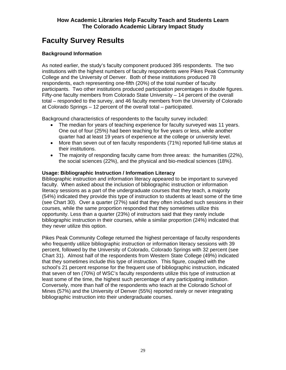# **Faculty Survey Results**

#### **Background Information**

As noted earlier, the study's faculty component produced 395 respondents. The two institutions with the highest numbers of faculty respondents were Pikes Peak Community College and the University of Denver. Both of these institutions produced 78 respondents, each representing one-fifth (20%) of the total number of faculty participants. Two other institutions produced participation percentages in double figures. Fifty-one faculty members from Colorado State University – 14 percent of the overall total – responded to the survey, and 46 faculty members from the University of Colorado at Colorado Springs – 12 percent of the overall total – participated.

Background characteristics of respondents to the faculty survey included:

- The median for years of teaching experience for faculty surveyed was 11 years. One out of four (25%) had been teaching for five years or less, while another quarter had at least 19 years of experience at the college or university level.
- More than seven out of ten faculty respondents (71%) reported full-time status at their institutions.
- The majority of responding faculty came from three areas: the humanities (22%), the social sciences (22%), and the physical and bio-medical sciences (18%).

#### **Usage: Bibliographic Instruction / Information Literacy**

Bibliographic instruction and information literacy appeared to be important to surveyed faculty. When asked about the inclusion of bibliographic instruction or information literacy sessions as a part of the undergraduate courses that they teach, a majority (54%) indicated they provide this type of instruction to students at least some of the time (see Chart 30). Over a quarter (27%) said that they often included such sessions in their courses, while the same proportion responded that they sometimes utilize this opportunity. Less than a quarter (23%) of instructors said that they rarely include bibliographic instruction in their courses, while a similar proportion (24%) indicated that they never utilize this option.

Pikes Peak Community College returned the highest percentage of faculty respondents who frequently utilize bibliographic instruction or information literacy sessions with 39 percent, followed by the University of Colorado, Colorado Springs with 32 percent (see Chart 31). Almost half of the respondents from Western State College (49%) indicated that they sometimes include this type of instruction. This figure, coupled with the school's 21 percent response for the frequent use of bibliographic instruction, indicated that seven of ten (70%) of WSC's faculty respondents utilize this type of instruction at least some of the time, the highest such percentage of any participating institution. Conversely, more than half of the respondents who teach at the Colorado School of Mines (57%) and the University of Denver (55%) reported rarely or never integrating bibliographic instruction into their undergraduate courses.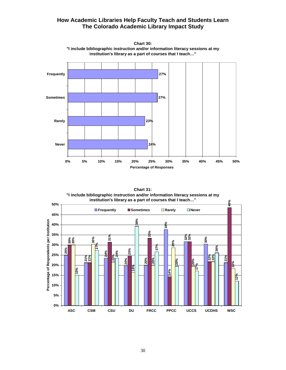

**Chart 30: "I include bibliographic instruction and/or information literacy sessions at my** 

| Chart $31$ :                                                                    |
|---------------------------------------------------------------------------------|
| "I include bibliographic instruction and/or information literacy sessions at my |
| institution's library as a part of courses that I teach"                        |

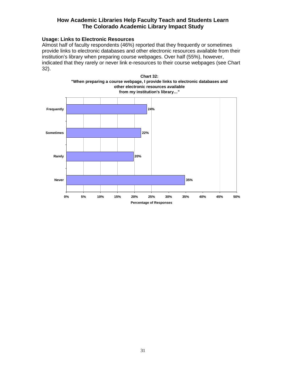#### **Usage: Links to Electronic Resources**

**Never**

**Rarely**

Almost half of faculty respondents (46%) reported that they frequently or sometimes provide links to electronic databases and other electronic resources available from their institution's library when preparing course webpages. Over half (55%), however, indicated that they rarely or never link e-resources to their course webpages (see Chart 32).



**20%**

**0% 5% 10% 15% 20% 25% 30% 35% 40% 45% 50% Percentage of Responses**

**35%**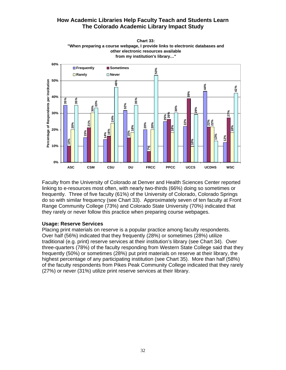**Chart 33:** 



Faculty from the University of Colorado at Denver and Health Sciences Center reported linking to e-resources most often, with nearly two-thirds (66%) doing so sometimes or frequently. Three of five faculty (61%) of the University of Colorado, Colorado Springs do so with similar frequency (see Chart 33). Approximately seven of ten faculty at Front Range Community College (73%) and Colorado State University (70%) indicated that they rarely or never follow this practice when preparing course webpages.

#### **Usage: Reserve Services**

Placing print materials on reserve is a popular practice among faculty respondents. Over half (56%) indicated that they frequently (28%) or sometimes (28%) utilize traditional (e.g. print) reserve services at their institution's library (see Chart 34). Over three-quarters (78%) of the faculty responding from Western State College said that they frequently (50%) or sometimes (28%) put print materials on reserve at their library, the highest percentage of any participating institution (see Chart 35). More than half (58%) of the faculty respondents from Pikes Peak Community College indicated that they rarely (27%) or never (31%) utilize print reserve services at their library.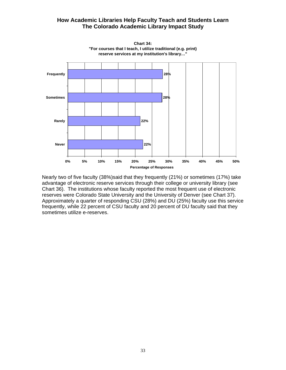

Nearly two of five faculty (38%)said that they frequently (21%) or sometimes (17%) take advantage of electronic reserve services through their college or university library (see Chart 36). The institutions whose faculty reported the most frequent use of electronic reserves were Colorado State University and the University of Denver (see Chart 37). Approximately a quarter of responding CSU (28%) and DU (25%) faculty use this service frequently, while 22 percent of CSU faculty and 20 percent of DU faculty said that they sometimes utilize e-reserves.

33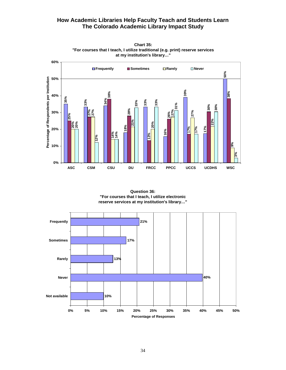

**Chart 35: "For courses that I teach, I utilize traditional (e.g. print) reserve services** 

**Question 36: "For courses that I teach, I utilize electronic reserve services at my institution's library…"**

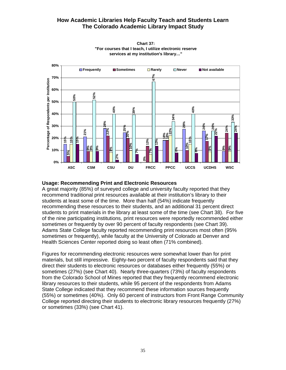

**Chart 37: "For courses that I teach, I utilize electronic reserve services at my institution's library…"**

#### **Usage: Recommending Print and Electronic Resources**

A great majority (85%) of surveyed college and university faculty reported that they recommend traditional print resources available at their institution's library to their students at least some of the time. More than half (54%) indicate frequently recommending these resources to their students, and an additional 31 percent direct students to print materials in the library at least some of the time (see Chart 38). For five of the nine participating institutions, print resources were reportedly recommended either sometimes or frequently by over 90 percent of faculty respondents (see Chart 39). Adams State College faculty reported recommending print resources most often (95% sometimes or frequently), while faculty at the University of Colorado at Denver and Health Sciences Center reported doing so least often (71% combined).

Figures for recommending electronic resources were somewhat lower than for print materials, but still impressive. Eighty-two percent of faculty respondents said that they direct their students to electronic resources or databases either frequently (55%) or sometimes (27%) (see Chart 40). Nearly three-quarters (73%) of faculty respondents from the Colorado School of Mines reported that they frequently recommend electronic library resources to their students, while 95 percent of the respondents from Adams State College indicated that they recommend these information sources frequently (55%) or sometimes (40%). Only 60 percent of instructors from Front Range Community College reported directing their students to electronic library resources frequently (27%) or sometimes (33%) (see Chart 41).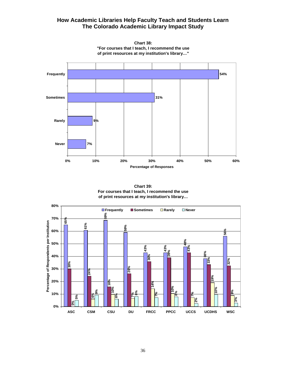

**Chart 38: "For courses that I teach, I recommend the use** 

**Chart 39: For courses that I teach, I recommend the use of print resources at my institution's library…**

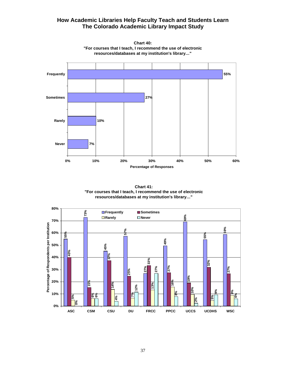

**Chart 41: "For courses that I teach, I recommend the use of electronic resources/databases at my institution's library…"**

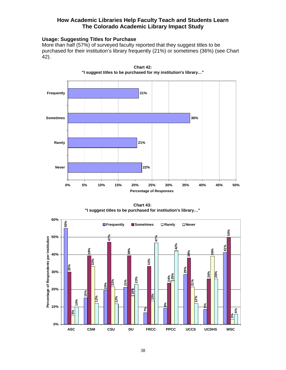#### **Usage: Suggesting Titles for Purchase**

More than half (57%) of surveyed faculty reported that they suggest titles to be purchased for their institution's library frequently (21%) or sometimes (36%) (see Chart 42).



**Chart 42: "I suggest titles to be purchased for my institution's library…"**

**Chart 43: "I suggest titles to be purchased for institution's library…"**

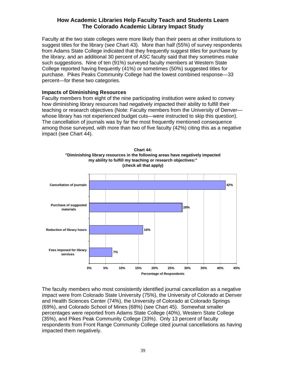Faculty at the two state colleges were more likely than their peers at other institutions to suggest titles for the library (see Chart 43). More than half (55%) of survey respondents from Adams State College indicated that they frequently suggest titles for purchase by the library, and an additional 30 percent of ASC faculty said that they sometimes make such suggestions. Nine of ten (91%) surveyed faculty members at Western State College reported having frequently (41%) or sometimes (50%) suggested titles for purchase. Pikes Peaks Community College had the lowest combined response—33 percent—for these two categories.

#### **Impacts of Diminishing Resources**

Faculty members from eight of the nine participating institution were asked to convey how diminishing library resources had negatively impacted their ability to fulfill their teaching or research objectives (Note: Faculty members from the University of Denver whose library has not experienced budget cuts—were instructed to skip this question). The cancellation of journals was by far the most frequently mentioned consequence among those surveyed, with more than two of five faculty (42%) citing this as a negative impact (see Chart 44).



The faculty members who most consistently identified journal cancellation as a negative impact were from Colorado State University (75%), the University of Colorado at Denver and Health Sciences Center (74%), the University of Colorado at Colorado Springs (69%), and Colorado School of Mines (68%) (see Chart 45). Somewhat smaller percentages were reported from Adams State College (40%), Western State College (35%), and Pikes Peak Community College (33%). Only 13 percent of faculty respondents from Front Range Community College cited journal cancellations as having impacted them negatively.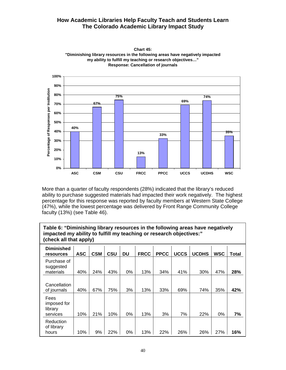

**Chart 45: "Diminishing library resources in the following areas have negatively impacted my ability to fulfill my teaching or research objectives…" Response: Cancellation of journals**

More than a quarter of faculty respondents (28%) indicated that the library's reduced ability to purchase suggested materials had impacted their work negatively. The highest percentage for this response was reported by faculty members at Western State College (47%), while the lowest percentage was delivered by Front Range Community College faculty (13%) (see Table 46).

 $\mathbf{I}$ 

| Table 6: "Diminishing library resources in the following areas have negatively<br>impacted my ability to fulfill my teaching or research objectives:"<br>(check all that apply) |            |            |     |    |             |             |             |              |            |              |
|---------------------------------------------------------------------------------------------------------------------------------------------------------------------------------|------------|------------|-----|----|-------------|-------------|-------------|--------------|------------|--------------|
| <b>Diminished</b><br>resources                                                                                                                                                  | <b>ASC</b> | <b>CSM</b> | CSU | DU | <b>FRCC</b> | <b>PPCC</b> | <b>UCCS</b> | <b>UCDHS</b> | <b>WSC</b> | <b>Total</b> |
| Purchase of<br>suggested<br>materials                                                                                                                                           | 40%        | 24%        | 43% | 0% | 13%         | 34%         | 41%         | 30%          | 47%        | 28%          |
| Cancellation<br>of journals                                                                                                                                                     | 40%        | 67%        | 75% | 3% | 13%         | 33%         | 69%         | 74%          | 35%        | 42%          |
| Fees<br>imposed for<br>library<br>services                                                                                                                                      | 10%        | 21%        | 10% | 0% | 13%         | 3%          | 7%          | 22%          | $0\%$      | 7%           |
| Reduction<br>of library<br>hours                                                                                                                                                | 10%        | 9%         | 22% | 0% | 13%         | 22%         | 26%         | 26%          | 27%        | 16%          |

**Table 6: "Diminishing library resources in the following areas have negatively**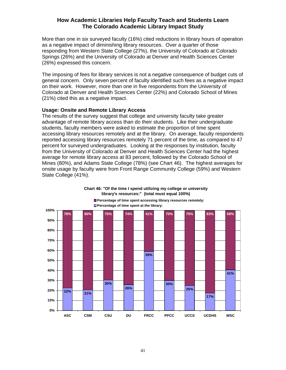More than one in six surveyed faculty (16%) cited reductions in library hours of operation as a negative impact of diminishing library resources. Over a quarter of those responding from Western State College (27%), the University of Colorado at Colorado Springs (26%) and the University of Colorado at Denver and Health Sciences Center (26%) expressed this concern.

The imposing of fees for library services is not a negative consequence of budget cuts of general concern. Only seven percent of faculty identified such fees as a negative impact on their work. However, more than one in five respondents from the University of Colorado at Denver and Health Sciences Center (22%) and Colorado School of Mines (21%) cited this as a negative impact.

#### **Usage: Onsite and Remote Library Access**

The results of the survey suggest that college and university faculty take greater advantage of remote library access than do their students. Like their undergraduate students, faculty members were asked to estimate the proportion of time spent accessing library resources remotely and at the library. On average, faculty respondents reported accessing library resources remotely 71 percent of the time, as compared to 47 percent for surveyed undergraduates. Looking at the responses by institution, faculty from the University of Colorado at Denver and Health Sciences Center had the highest average for remote library access at 83 percent, followed by the Colorado School of Mines (80%), and Adams State College (78%) (see Chart 46). The highest averages for onsite usage by faculty were from Front Range Community College (59%) and Western State College (41%).



#### **Chart 46: "Of the time I spend utilizing my college or university library's resources:" (total must equal 100%)**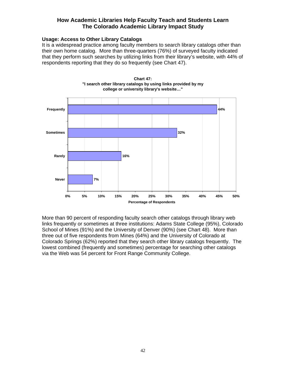#### **Usage: Access to Other Library Catalogs**

It is a widespread practice among faculty members to search library catalogs other than their own home catalog. More than three-quarters (76%) of surveyed faculty indicated that they perform such searches by utilizing links from their library's website, with 44% of respondents reporting that they do so frequently (see Chart 47).



**Chart 47: "I search other library catalogs by using links provided by my** 

More than 90 percent of responding faculty search other catalogs through library web links frequently or sometimes at three institutions: Adams State College (95%), Colorado School of Mines (91%) and the University of Denver (90%) (see Chart 48). More than three out of five respondents from Mines (64%) and the University of Colorado at Colorado Springs (62%) reported that they search other library catalogs frequently. The lowest combined (frequently and sometimes) percentage for searching other catalogs via the Web was 54 percent for Front Range Community College.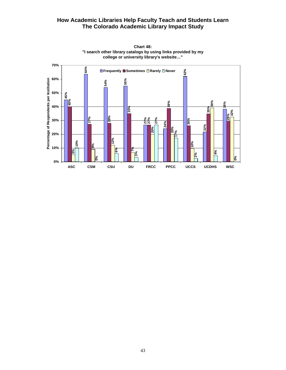

**Chart 48: "I search other library catalogs by using links provided by my college or university library's website…"**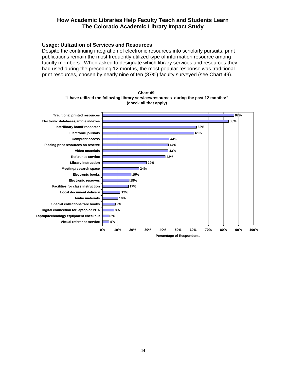#### **Usage: Utilization of Services and Resources**

Despite the continuing integration of electronic resources into scholarly pursuits, print publications remain the most frequently utilized type of information resource among faculty members. When asked to designate which library services and resources they had used during the preceding 12 months, the most popular response was traditional print resources, chosen by nearly nine of ten (87%) faculty surveyed (see Chart 49).



**Chart 49: "I have utilized the following library services/resources during the past 12 months:" (check all that apply)**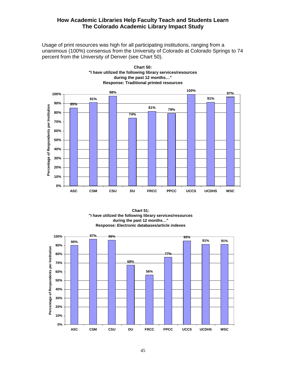Usage of print resources was high for all participating institutions, ranging from a unanimous (100%) consensus from the University of Colorado at Colorado Springs to 74 percent from the University of Denver (see Chart 50).







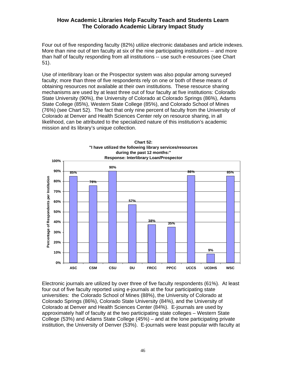Four out of five responding faculty (82%) utilize electronic databases and article indexes. More than nine out of ten faculty at six of the nine participating institutions -- and more than half of faculty responding from all institutions -- use such e-resources (see Chart 51).

Use of interlibrary loan or the Prospector system was also popular among surveyed faculty; more than three of five respondents rely on one or both of these means of obtaining resources not available at their own institutions. These resource sharing mechanisms are used by at least three out of four faculty at five institutions: Colorado State University (90%), the University of Colorado at Colorado Springs (86%), Adams State College (85%), Western State College (85%), and Colorado School of Mines (76%) (see Chart 52). The fact that only nine percent of faculty from the University of Colorado at Denver and Health Sciences Center rely on resource sharing, in all likelihood, can be attributed to the specialized nature of this institution's academic mission and its library's unique collection.



**Chart 52: "I have utilized the following library services/resources** 

Electronic journals are utilized by over three of five faculty respondents (61%). At least four out of five faculty reported using e-journals at the four participating state universities: the Colorado School of Mines (88%), the University of Colorado at Colorado Springs (86%), Colorado State University (84%), and the University of Colorado at Denver and Health Sciences Center (84%). E-journals are used by approximately half of faculty at the two participating state colleges – Western State College (53%) and Adams State College (45%) – and at the lone participating private institution, the University of Denver (53%). E-journals were least popular with faculty at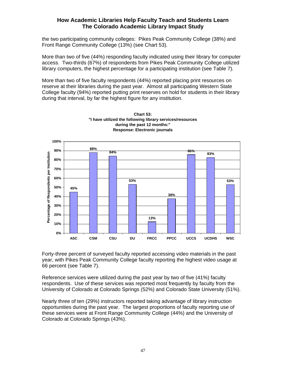the two participating community colleges: Pikes Peak Community College (38%) and Front Range Community College (13%) (see Chart 53).

More than two of five (44%) responding faculty indicated using their library for computer access. Two-thirds (67%) of respondents from Pikes Peak Community College utilized library computers, the highest percentage for a participating institution (see Table 7).

More than two of five faculty respondents (44%) reported placing print resources on reserve at their libraries during the past year. Almost all participating Western State College faculty (94%) reported putting print reserves on hold for students in their library during that interval, by far the highest figure for any institution.



**Chart 53: "I have utilized the following library services/resources during the past 12 months:"** 

Forty-three percent of surveyed faculty reported accessing video materials in the past year, with Pikes Peak Community College faculty reporting the highest video usage at 66 percent (see Table 7).

Reference services were utilized during the past year by two of five (41%) faculty respondents. Use of these services was reported most frequently by faculty from the University of Colorado at Colorado Springs (52%) and Colorado State University (51%).

Nearly three of ten (29%) instructors reported taking advantage of library instruction opportunities during the past year. The largest proportions of faculty reporting use of these services were at Front Range Community College (44%) and the University of Colorado at Colorado Springs (43%).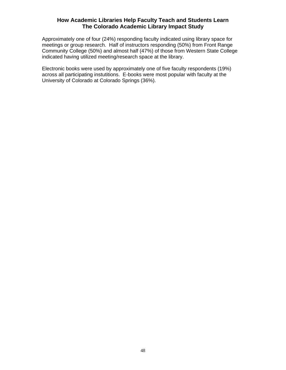Approximately one of four (24%) responding faculty indicated using library space for meetings or group research. Half of instructors responding (50%) from Front Range Community College (50%) and almost half (47%) of those from Western State College indicated having utilized meeting/research space at the library.

Electronic books were used by approximately one of five faculty respondents (19%) across all participating instutitions. E-books were most popular with faculty at the University of Colorado at Colorado Springs (36%).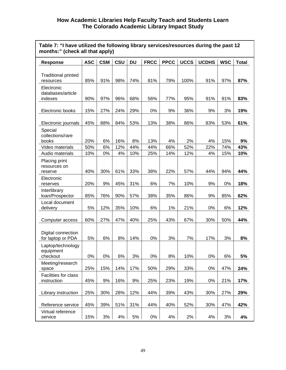| Table 7: "I have utilized the following library services/resources during the past 12 |
|---------------------------------------------------------------------------------------|
| months:" (check all that apply)                                                       |

| <b>PPCC</b><br><b>UCDHS</b>                                                                    |            |              |
|------------------------------------------------------------------------------------------------|------------|--------------|
| <b>CSM</b><br>CSU<br><b>FRCC</b><br><b>UCCS</b><br><b>ASC</b><br><b>DU</b><br><b>Response</b>  | <b>WSC</b> | <b>Total</b> |
| <b>Traditional printed</b>                                                                     |            |              |
| 91%<br>98%<br>74%<br>81%<br>100%<br>85%<br>79%<br>91%<br>resources                             | 97%        | 87%          |
| Electronic                                                                                     |            |              |
| databases/article                                                                              |            |              |
| 68%<br>90%<br>97%<br>96%<br>56%<br>77%<br>95%<br>91%<br>indexes                                | 91%        | 83%          |
|                                                                                                |            |              |
| 29%<br>Electronic books<br>15%<br>27%<br>24%<br>0%<br>9%<br>36%<br>9%                          | 3%         | 19%          |
| 45%<br>53%<br>13%<br>Electronic journals<br>88%<br>84%<br>38%<br>86%<br>83%                    | 53%        | 61%          |
| Special                                                                                        |            |              |
| collections/rare                                                                               |            |              |
| 20%<br>6%<br>16%<br>8%<br>13%<br>2%<br>books<br>4%<br>4%                                       | 15%        | 9%           |
| 6%<br>12%<br>44%<br>44%<br>52%<br>Video materials<br>50%<br>66%<br>22%                         | 74%        | 43%          |
| Audio materials<br>10%<br>4%<br>0%<br>10%<br>25%<br>14%<br>12%<br>4%                           | 15%        | 10%          |
| Placing print                                                                                  |            |              |
| resources on<br>22%                                                                            |            |              |
| 33%<br>40%<br>30%<br>61%<br>38%<br>44%<br>57%<br>reserve                                       | 94%        | 44%          |
| Electronic<br>9%<br>31%<br>7%<br>10%<br>20%<br>45%<br>6%<br>9%<br>reserves                     | 0%         | 18%          |
| Interlibrary                                                                                   |            |              |
| loan/Prospector<br>85%<br>90%<br>57%<br>38%<br>76%<br>35%<br>86%<br>9%                         | 85%        | 62%          |
| Local document                                                                                 |            |              |
| 10%<br>5%<br>12%<br>35%<br>6%<br>1%<br>21%<br>0%<br>delivery                                   | 6%         | 12%          |
|                                                                                                |            |              |
| 60%<br>27%<br>40%<br>47%<br>25%<br>43%<br>67%<br>30%<br>Computer access                        | 50%        | 44%          |
|                                                                                                |            |              |
| Digital connection<br>6%<br>8%<br>14%<br>0%<br>3%<br>7%                                        |            | 8%           |
| for laptop or PDA<br>5%<br>17%                                                                 | 3%         |              |
| Laptop/technology<br>equipment                                                                 |            |              |
| checkout<br>0%<br>0%<br>6%<br>3%<br>0%<br>8%<br>10%<br>0%                                      | 6%         | 5%           |
| Meeting/research                                                                               |            |              |
| 25%<br>15%<br>14%<br>17%<br>50%<br>29%<br>33%<br>0%<br>space                                   | 47%        | 24%          |
| Facilities for class                                                                           |            |              |
| 45%<br>9%<br>16%<br>9%<br>25%<br>instruction<br>23%<br>19%<br>0%                               | 21%        | 17%          |
|                                                                                                |            |              |
| Library instruction<br>25%<br>30%<br>28%<br>12%<br>44%<br>43%<br>39%<br>30%                    | 27%        | 29%          |
|                                                                                                |            |              |
| Reference service<br>45%<br>39%<br>44%<br>40%<br>52%<br>51%<br>31%<br>30%<br>Virtual reference | 47%        | 42%          |
| 15%<br>3%<br>4%<br>5%<br>$0\%$<br>4%<br>2%<br>4%<br>service                                    | 3%         | 4%           |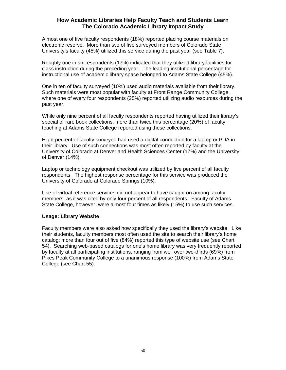Almost one of five faculty respondents (18%) reported placing course materials on electronic reserve. More than two of five surveyed members of Colorado State University's faculty (45%) utilized this service during the past year (see Table 7).

Roughly one in six respondents (17%) indicated that they utilized library facilities for class instruction during the preceding year. The leading institutional percentage for instructional use of academic library space belonged to Adams State College (45%).

One in ten of faculty surveyed (10%) used audio materials available from their library. Such materials were most popular with faculty at Front Range Community College, where one of every four respondents (25%) reported utilizing audio resources during the past year.

While only nine percent of all faculty respondents reported having utilized their library's special or rare book collections, more than twice this percentage (20%) of faculty teaching at Adams State College reported using these collections.

Eight percent of faculty surveyed had used a digital connection for a laptop or PDA in their library. Use of such connections was most often reported by faculty at the University of Colorado at Denver and Health Sciences Center (17%) and the University of Denver (14%).

Laptop or technology equipment checkout was utilized by five percent of all faculty respondents. The highest response percentage for this service was produced the University of Colorado at Colorado Springs (10%).

Use of virtual reference services did not appear to have caught on among faculty members, as it was cited by only four percent of all respondents. Faculty of Adams State College, however, were almost four times as likely (15%) to use such services.

#### **Usage: Library Website**

Faculty members were also asked how specifically they used the library's website. Like their students, faculty members most often used the site to search their library's home catalog; more than four out of five (84%) reported this type of website use (see Chart 54). Searching web-based catalogs for one's home library was very frequently reported by faculty at all participating institutions, ranging from well over two-thirds (69%) from Pikes Peak Community College to a unanimous response (100%) from Adams State College (see Chart 55).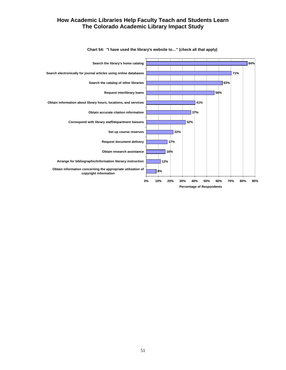

**Chart 54: "I have used the library's website to…" (check all that apply)**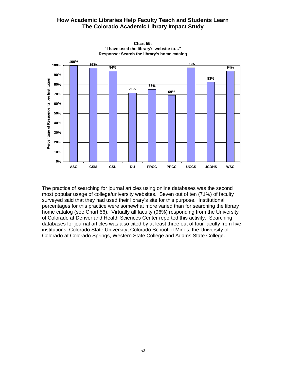

The practice of searching for journal articles using online databases was the second most popular usage of college/university websites. Seven out of ten (71%) of faculty surveyed said that they had used their library's site for this purpose. Institutional percentages for this practice were somewhat more varied than for searching the library home catalog (see Chart 56). Virtually all faculty (96%) responding from the University of Colorado at Denver and Health Sciences Center reported this activity. Searching databases for journal articles was also cited by at least three out of four faculty from five institutions: Colorado State University, Colorado School of Mines, the University of Colorado at Colorado Springs, Western State College and Adams State College.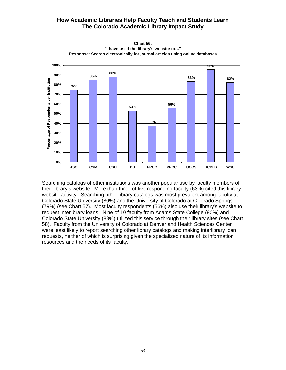

**Chart 56: "I have used the library's website to…" Response: Search electronically for journal articles using online databases**

Searching catalogs of other institutions was another popular use by faculty members of their library's website. More than three of five responding faculty (63%) cited this library website activity. Searching other library catalogs was most prevalent among faculty at Colorado State University (80%) and the University of Colorado at Colorado Springs (79%) (see Chart 57). Most faculty respondents (56%) also use their library's website to request interlibrary loans. Nine of 10 faculty from Adams State College (90%) and Colorado State University (88%) utilized this service through their library sites (see Chart 58). Faculty from the University of Colorado at Denver and Health Sciences Center were least likely to report searching other library catalogs and making interlibrary loan requests, neither of which is surprising given the specialized nature of its information resources and the needs of its faculty.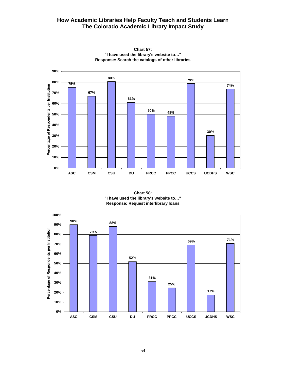

**Chart 57: "I have used the library's website to…" Response: Search the catalogs of other libraries**

**Chart 58: "I have used the library's website to…" Response: Request interlibrary loans**

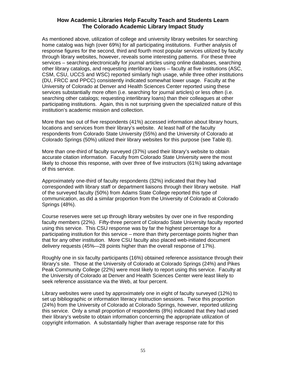As mentioned above, utilization of college and university library websites for searching home catalog was high (over 69%) for all participating institutions. Further analysis of response figures for the second, third and fourth most popular services utilized by faculty through library websites, however, reveals some interesting patterns. For these three services – searching electronically for journal articles using online databases, searching other library catalogs, and requesting interlibrary loans – faculty at five institutions (ASC, CSM, CSU, UCCS and WSC) reported similarly high usage, while three other institutions (DU, FRCC and PPCC) consistently indicated somewhat lower usage. Faculty at the University of Colorado at Denver and Health Sciences Center reported using these services substantially more often (i.e. searching for journal articles) or less often (i.e. searching other catalogs; requesting interlibrary loans) than their colleagues at other participating institutions. Again, this is not surprising given the specialized nature of this institution's academic mission and collection.

More than two out of five respondents (41%) accessed information about library hours, locations and services from their library's website. At least half of the faculty respondents from Colorado State University (55%) and the University of Colorado at Colorado Springs (50%) utilized their library websites for this purpose (see Table 8).

More than one-third of faculty surveyed (37%) used their library's website to obtain accurate citation information. Faculty from Colorado State University were the most likely to choose this response, with over three of five instructors (61%) taking advantage of this service.

Approximately one-third of faculty respondents (32%) indicated that they had corresponded with library staff or department liaisons through their library website. Half of the surveyed faculty (50%) from Adams State College reported this type of communication, as did a similar proportion from the University of Colorado at Colorado Springs (48%).

Course reserves were set up through library websites by over one in five responding faculty members (22%). Fifty-three percent of Colorado State University faculty reported using this service. This CSU response was by far the highest percentage for a participating institution for this service – more than thirty percentage points higher than that for any other institution. More CSU faculty also placed web-initiated document delivery requests (45%—28 points higher than the overall response of 17%).

Roughly one in six faculty participants (16%) obtained reference assistance through their library's site. Those at the University of Colorado at Colorado Springs (24%) and Pikes Peak Community College (22%) were most likely to report using this service. Faculty at the University of Colorado at Denver and Health Sciences Center were least likely to seek reference assistance via the Web, at four percent.

Library websites were used by approximately one in eight of faculty surveyed (12%) to set up bibliographic or information literacy instruction sessions. Twice this proportion (24%) from the University of Colorado at Colorado Springs, however, reported utilizing this service. Only a small proportion of respondents (8%) indicated that they had used their library's website to obtain information concerning the appropriate utilization of copyright information. A substantially higher than average response rate for this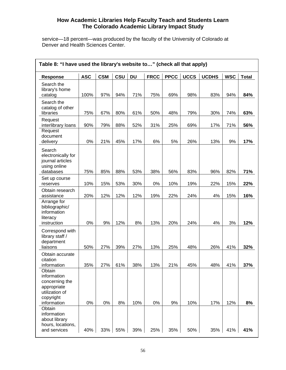service—18 percent—was produced by the faculty of the University of Colorado at Denver and Health Sciences Center.

| Table 8: "I have used the library's website to" (check all that apply)                               |            |            |            |           |             |             |             |              |            |              |
|------------------------------------------------------------------------------------------------------|------------|------------|------------|-----------|-------------|-------------|-------------|--------------|------------|--------------|
| <b>Response</b>                                                                                      | <b>ASC</b> | <b>CSM</b> | <b>CSU</b> | <b>DU</b> | <b>FRCC</b> | <b>PPCC</b> | <b>UCCS</b> | <b>UCDHS</b> | <b>WSC</b> | <b>Total</b> |
| Search the<br>library's home<br>catalog                                                              | 100%       | 97%        | 94%        | 71%       | 75%         | 69%         | 98%         | 83%          | 94%        | 84%          |
| Search the<br>catalog of other<br>libraries                                                          | 75%        | 67%        | 80%        | 61%       | 50%         | 48%         | 79%         | 30%          | 74%        | 63%          |
| Request<br>interlibrary loans                                                                        | 90%        | 79%        | 88%        | 52%       | 31%         | 25%         | 69%         | 17%          | 71%        | 56%          |
| Request<br>document<br>delivery                                                                      | 0%         | 21%        | 45%        | 17%       | 6%          | 5%          | 26%         | 13%          | 9%         | 17%          |
| Search<br>electronically for<br>journal articles<br>using online<br>databases                        | 75%        | 85%        | 88%        | 53%       | 38%         | 56%         | 83%         | 96%          | 82%        | 71%          |
| Set up course<br>reserves                                                                            | 10%        | 15%        | 53%        | 30%       | 0%          | 10%         | 19%         | 22%          | 15%        | 22%          |
| Obtain research<br>assistance                                                                        | 20%        | 12%        | 12%        | 12%       | 19%         | 22%         | 24%         | 4%           | 15%        | 16%          |
| Arrange for<br>bibliographic/<br>information<br>literacy<br>instruction                              | 0%         | 9%         | 12%        | 8%        | 13%         | 20%         | 24%         | 4%           | 3%         | 12%          |
| Correspond with<br>library staff /<br>department<br>liaisons                                         | 50%        | 27%        | 39%        | 27%       | 13%         | 25%         | 48%         | 26%          | 41%        | 32%          |
| Obtain accurate<br>citation<br>information                                                           | 35%        | 27%        | 61%        | 38%       | 13%         | 21%         | 45%         | 48%          | 41%        | 37%          |
| Obtain<br>information<br>concerning the<br>appropriate<br>utilization of<br>copyright<br>information | 0%         | 0%         | 8%         | 10%       | $0\%$       | 9%          | 10%         | 17%          | 12%        | 8%           |
| Obtain<br>information<br>about library<br>hours, locations,<br>and services                          | 40%        | 33%        | 55%        | 39%       | 25%         | 35%         | 50%         | 35%          | 41%        | 41%          |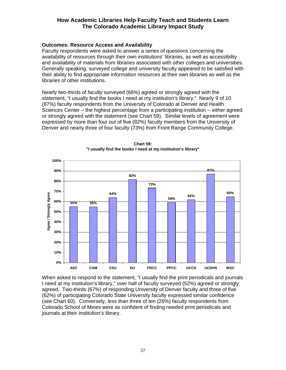#### **Outcomes: Resource Access and Availability**

Faculty respondents were asked to answer a series of questions concerning the availability of resources through their own institutions' libraries, as well as accessibility and availability of materials from libraries associated with other colleges and universities. Generally speaking, surveyed college and university faculty appeared to be satisfied with their ability to find appropriate information resources at their own libraries as well as the libraries of other institutions.

Nearly two-thirds of faculty surveyed (66%) agreed or strongly agreed with the statement, "I usually find the books I need at my institution's library." Nearly 9 of 10 (87%) faculty respondents from the University of Colorado at Denver and Health Sciences Center – the highest percentage from a participating institution -- either agreed or strongly agreed with the statement (see Chart 59). Similar levels of agreement were expressed by more than four out of five (82%) faculty members from the University of Denver and nearly three of four faculty (73%) from Front Range Community College.



**Chart 59: "I usually find the books I need at my institution's library"**

When asked to respond to the statement, "I usually find the print periodicals and journals I need at my institution's library," over half of faculty surveyed (52%) agreed or strongly agreed. Two-thirds (67%) of responding University of Denver faculty and three of five (62%) of participating Colorado State University faculty expressed similar confidence (see Chart 60). Conversely, less than three of ten (26%) faculty respondents from Colorado School of Mines were as confident of finding needed print periodicals and journals at their institution's library.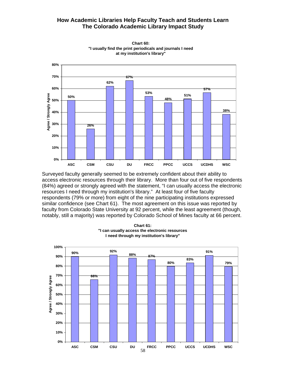

**Chart 60: "I usually find the print periodicals and journals I need at my institution's library"**

Surveyed faculty generally seemed to be extremely confident about their ability to access electronic resources through their library. More than four out of five respondents (84%) agreed or strongly agreed with the statement, "I can usually access the electronic resources I need through my institution's library." At least four of five faculty respondents (79% or more) from eight of the nine participating institutions expressed similar confidence (see Chart 61). The most agreement on this issue was reported by faculty from Colorado State University at 92 percent, while the least agreement (though, notably, still a majority) was reported by Colorado School of Mines faculty at 66 percent.



**Chart 61: "I can usually access the electronic resources I need through my institution's library"**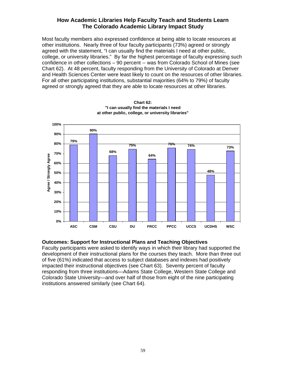Most faculty members also expressed confidence at being able to locate resources at other institutions. Nearly three of four faculty participants (73%) agreed or strongly agreed with the statement, "I can usually find the materials I need at other public, college, or university libraries." By far the highest percentage of faculty expressing such confidence in other collections – 90 percent -- was from Colorado School of Mines (see Chart 62). At 48 percent, faculty responding from the University of Colorado at Denver and Health Sciences Center were least likely to count on the resources of other libraries. For all other participating institutions, substantial majorities (64% to 79%) of faculty agreed or strongly agreed that they are able to locate resources at other libraries.



**Chart 62: "I can usually find the materials I need at other public, college, or university libraries"**

#### **Outcomes: Support for Instructional Plans and Teaching Objectives**

Faculty participants were asked to identify ways in which their library had supported the development of their instructional plans for the courses they teach. More than three out of five (61%) indicated that access to subject databases and indexes had positively impacted their instructional objectives (see Chart 63). Seventy percent of faculty responding from three institutions—Adams State College, Western State College and Colorado State University—and over half of those from eight of the nine participating institutions answered similarly (see Chart 64).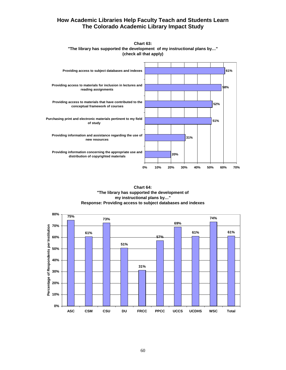

**Chart 63: "The library has supported the development of my instructional plans by…" (check all that apply)**



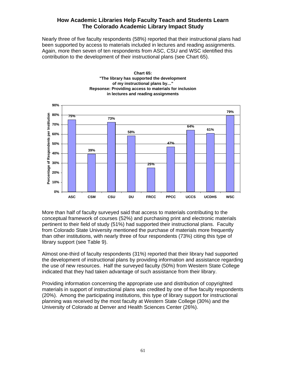Nearly three of five faculty respondents (58%) reported that their instructional plans had been supported by access to materials included in lectures and reading assignments. Again, more then seven of ten respondents from ASC, CSU and WSC identified this contribution to the development of their instructional plans (see Chart 65).





More than half of faculty surveyed said that access to materials contributing to the conceptual framework of courses (52%) and purchasing print and electronic materials pertinent to their field of study (51%) had supported their instructional plans. Faculty from Colorado State University mentioned the purchase of materials more frequently than other institutions, with nearly three of four respondents (73%) citing this type of library support (see Table 9).

Almost one-third of faculty respondents (31%) reported that their library had supported the development of instructional plans by providing information and assistance regarding the use of new resources. Half the surveyed faculty (50%) from Western State College indicated that they had taken advantage of such assistance from their library.

Providing information concerning the appropriate use and distribution of copyrighted materials in support of instructional plans was credited by one of five faculty respondents (20%). Among the participating institutions, this type of library support for instructional planning was received by the most faculty at Western State College (30%) and the University of Colorado at Denver and Health Sciences Center (26%).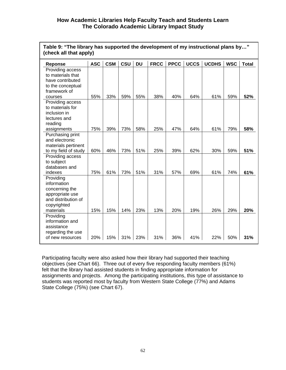| Table 9: "The library has supported the development of my instructional plans by"<br>(check all that apply)         |            |            |            |           |             |             |             |              |            |              |
|---------------------------------------------------------------------------------------------------------------------|------------|------------|------------|-----------|-------------|-------------|-------------|--------------|------------|--------------|
| Reponse                                                                                                             | <b>ASC</b> | <b>CSM</b> | <b>CSU</b> | <b>DU</b> | <b>FRCC</b> | <b>PPCC</b> | <b>UCCS</b> | <b>UCDHS</b> | <b>WSC</b> | <b>Total</b> |
| Providing access<br>to materials that<br>have contributed<br>to the conceptual<br>framework of<br>courses           | 55%        | 33%        | 59%        | 55%       | 38%         | 40%         | 64%         | 61%          | 59%        | 52%          |
| Providing access<br>to materials for<br>inclusion in<br>lectures and<br>reading                                     |            |            |            |           |             |             |             |              |            |              |
| assignments                                                                                                         | 75%        | 39%        | 73%        | 58%       | 25%         | 47%         | 64%         | 61%          | 79%        | 58%          |
| Purchasing print<br>and electronic<br>materials pertinent<br>to my field of study<br>Providing access<br>to subject | 60%        | 46%        | 73%        | 51%       | 25%         | 39%         | 62%         | 30%          | 59%        | 51%          |
| databases and<br>indexes                                                                                            | 75%        | 61%        | 73%        | 51%       | 31%         | 57%         | 69%         | 61%          | 74%        | 61%          |
| Providing<br>information<br>concerning the<br>appropriate use<br>and distribution of<br>copyrighted<br>materials    | 15%        | 15%        | 14%        | 23%       | 13%         | 20%         | 19%         | 26%          | 29%        | 20%          |
| Providing<br>information and<br>assistance<br>regarding the use<br>of new resources                                 | 20%        | 15%        | $31\%$     | 23%       | 31%         | 36%         | 41%         | 22%          | 50%        | 31%          |

Participating faculty were also asked how their library had supported their teaching objectives (see Chart 66). Three out of every five responding faculty members (61%) felt that the library had assisted students in finding appropriate information for assignments and projects. Among the participating institutions, this type of assistance to students was reported most by faculty from Western State College (77%) and Adams State College (75%) (see Chart 67).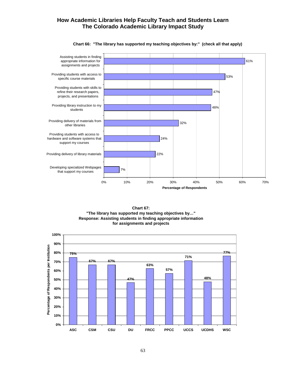

#### **Chart 66: "The library has supported my teaching objectives by:" (check all that apply)**



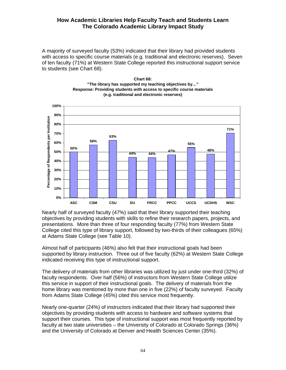A majority of surveyed faculty (53%) indicated that their library had provided students with access to specific course materials (e.g. traditional and electronic reserves). Seven of ten faculty (71%) at Western State College reported this instructional support service to students (see Chart 68).

![](_page_75_Figure_2.jpeg)

![](_page_75_Figure_3.jpeg)

Nearly half of surveyed faculty (47%) said that their library supported their teaching objectives by providing students with skills to refine their research papers, projects, and presentations. More than three of four responding faculty (77%) from Western State College cited this type of library support, followed by two-thirds of their colleagues (65%) at Adams State College (see Table 10).

Almost half of participants (46%) also felt that their instructional goals had been supported by library instruction. Three out of five faculty (62%) at Western State College indicated receiving this type of instructional support.

The delivery of materials from other libraries was utilized by just under one-third (32%) of faculty respondents. Over half (56%) of instructors from Western State College utilize this service in support of their instructional goals. The delivery of materials from the home library was mentioned by more than one in five (22%) of faculty surveyed. Faculty from Adams State College (45%) cited this service most frequently.

Nearly one-quarter (24%) of instructors indicated that their library had supported their objectives by providing students with access to hardware and software systems that support their courses. This type of instructional support was most frequently reported by faculty at two state universities – the University of Colorado at Colorado Springs (36%) and the University of Colorado at Denver and Health Sciences Center (35%).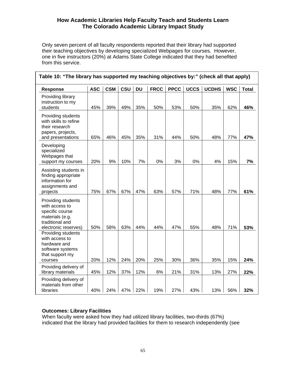Only seven percent of all faculty respondents reported that their library had supported their teaching objectives by developing specialized Webpages for courses. However, one in five instructors (20%) at Adams State College indicated that they had benefited from this service.

| Table 10: "The library has supported my teaching objectives by:" (check all that apply)                               |            |            |            |           |             |             |             |              |            |              |
|-----------------------------------------------------------------------------------------------------------------------|------------|------------|------------|-----------|-------------|-------------|-------------|--------------|------------|--------------|
| <b>Response</b>                                                                                                       | <b>ASC</b> | <b>CSM</b> | <b>CSU</b> | <b>DU</b> | <b>FRCC</b> | <b>PPCC</b> | <b>UCCS</b> | <b>UCDHS</b> | <b>WSC</b> | <b>Total</b> |
| Providing library<br>instruction to my<br>students                                                                    | 45%        | 39%        | 49%        | 35%       | 50%         | 53%         | 50%         | 35%          | 62%        | 46%          |
| Providing students<br>with skills to refine<br>their research<br>papers, projects,<br>and presentations               | 65%        | 46%        | 45%        | 35%       | 31%         | 44%         | 50%         | 48%          | 77%        | 47%          |
| Developing<br>specialized<br>Webpages that<br>support my courses                                                      | 20%        | 9%         | 10%        | 7%        | 0%          | 3%          | 0%          | 4%           | 15%        | 7%           |
| Assisting students in<br>finding appropriate<br>information for<br>assignments and<br>projects                        | 75%        | 67%        | 67%        | 47%       | 63%         | 57%         | 71%         | 48%          | 77%        | 61%          |
| Providing students<br>with access to<br>specific course<br>materials (e.g.<br>traditional and<br>electronic reserves) | 50%        | 58%        | 63%        | 44%       | 44%         | 47%         | 55%         | 48%          | 71%        | 53%          |
| Providing students<br>with access to<br>hardware and<br>software systems<br>that support my<br>courses                | 20%        | 12%        | 24%        | 20%       | 25%         | 30%         | 36%         | 35%          | 15%        | 24%          |
| Providing delivery of<br>library materials                                                                            | 45%        | 12%        | 37%        | 12%       | 6%          | 21%         | 31%         | 13%          | 27%        | 22%          |
| Providing delivery of<br>materials from other<br>libraries                                                            | 40%        | 24%        | 47%        | 22%       | 19%         | 27%         | 43%         | 13%          | 56%        | 32%          |

#### **Outcomes: Library Facilities**

When faculty were asked how they had utilized library facilities, two-thirds (67%) indicated that the library had provided facilities for them to research independently (see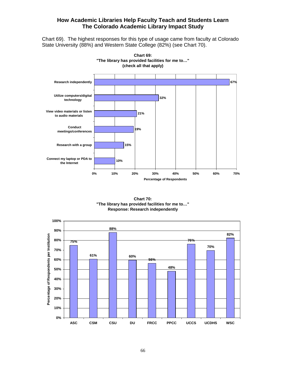Chart 69). The highest responses for this type of usage came from faculty at Colorado State University (88%) and Western State College (82%) (see Chart 70).

![](_page_77_Figure_2.jpeg)

**Chart 69: "The library has provided facilities for me to…"** 

**Chart 70: "The library has provided facilities for me to…" Response: Research independently**

![](_page_77_Figure_5.jpeg)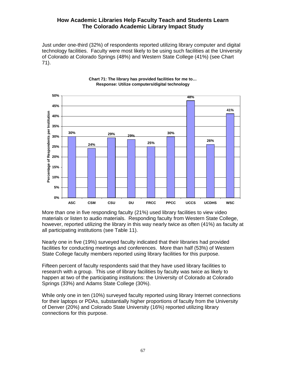Just under one-third (32%) of respondents reported utilizing library computer and digital technology facilities. Faculty were most likely to be using such facilities at the University of Colorado at Colorado Springs (48%) and Western State College (41%) (see Chart 71).

![](_page_78_Figure_2.jpeg)

#### **Chart 71: The library has provided facilities for me to… Response: Utilize computers/digital technology**

More than one in five responding faculty (21%) used library facilities to view video materials or listen to audio materials. Responding faculty from Western State College, however, reported utilizing the library in this way nearly twice as often (41%) as faculty at all participating institutions (see Table 11).

Nearly one in five (19%) surveyed faculty indicated that their libraries had provided facilities for conducting meetings and conferences. More than half (53%) of Western State College faculty members reported using library facilities for this purpose.

Fifteen percent of faculty respondents said that they have used library facilities to research with a group. This use of library facilities by faculty was twice as likely to happen at two of the participating institutions: the University of Colorado at Colorado Springs (33%) and Adams State College (30%).

While only one in ten (10%) surveyed faculty reported using library Internet connections for their laptops or PDAs, substantially higher proportions of faculty from the University of Denver (20%) and Colorado State University (16%) reported utilizing library connections for this purpose.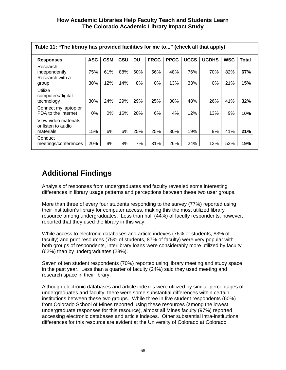| Table 11: "The library has provided facilities for me to" (check all that apply) |            |            |     |           |             |             |             |              |            |              |
|----------------------------------------------------------------------------------|------------|------------|-----|-----------|-------------|-------------|-------------|--------------|------------|--------------|
| <b>Responses</b>                                                                 | <b>ASC</b> | <b>CSM</b> | CSU | <b>DU</b> | <b>FRCC</b> | <b>PPCC</b> | <b>UCCS</b> | <b>UCDHS</b> | <b>WSC</b> | <b>Total</b> |
| Research<br>independently                                                        | 75%        | 61%        | 88% | 60%       | 56%         | 48%         | 76%         | 70%          | 82%        | 67%          |
| Research with a<br>group                                                         | 30%        | 12%        | 14% | 8%        | 0%          | 13%         | 33%         | 0%           | 21%        | 15%          |
| Utilize<br>computers/digital<br>technology                                       | 30%        | 24%        | 29% | 29%       | 25%         | 30%         | 48%         | 26%          | 41%        | 32%          |
| Connect my laptop or<br>PDA to the Internet                                      | $0\%$      | 0%         | 16% | 20%       | 6%          | 4%          | 12%         | 13%          | 9%         | 10%          |
| View video materials<br>or listen to audio<br>materials                          | 15%        | 6%         | 6%  | 25%       | 25%         | 30%         | 19%         | 9%           | 41%        | 21%          |
| Conduct<br>meetings/conferences                                                  | 20%        | 9%         | 8%  | 7%        | 31%         | 26%         | 24%         | 13%          | 53%        | 19%          |

## **Additional Findings**

Analysis of responses from undergraduates and faculty revealed some interesting differences in library usage patterns and perceptions between these two user groups.

More than three of every four students responding to the survey (77%) reported using their institution's library for computer access, making this the most utilized library resource among undergraduates. Less than half (44%) of faculty respondents, however, reported that they used the library in this way.

While access to electronic databases and article indexes (76% of students, 83% of faculty) and print resources (75% of students, 87% of faculty) were very popular with both groups of respondents, interlibrary loans were considerably more utilized by faculty (62%) than by undergraduates (23%).

Seven of ten student respondents (70%) reported using library meeting and study space in the past year. Less than a quarter of faculty (24%) said they used meeting and research space in their library.

Although electronic databases and article indexes were utilized by similar percentages of undergraduates and faculty, there were some substantial differences within certain institutions between these two groups. While three in five student respondents (60%) from Colorado School of Mines reported using these resources (among the lowest undergraduate responses for this resource), almost all Mines faculty (97%) reported accessing electronic databases and article indexes. Other substantial intra-institutional differences for this resource are evident at the University of Colorado at Colorado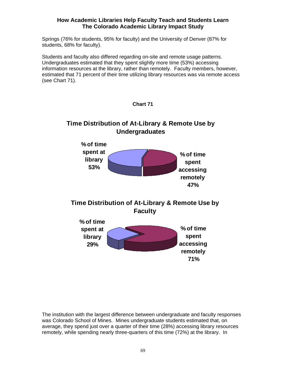Springs (76% for students, 95% for faculty) and the University of Denver (87% for students, 68% for faculty).

Students and faculty also differed regarding on-site and remote usage patterns. Undergraduates estimated that they spent slightly more time (53%) accessing information resources at the library, rather than remotely. Faculty members, however, estimated that 71 percent of their time utilizing library resources was via remote access (see Chart 71).

![](_page_80_Figure_3.jpeg)

The institution with the largest difference between undergraduate and faculty responses was Colorado School of Mines. Mines undergraduate students estimated that, on average, they spend just over a quarter of their time (28%) accessing library resources remotely, while spending nearly three-quarters of this time (72%) at the library. In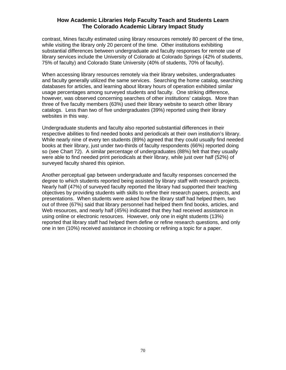contrast, Mines faculty estimated using library resources remotely 80 percent of the time, while visiting the library only 20 percent of the time. Other institutions exhibiting substantial differences between undergraduate and faculty responses for remote use of library services include the University of Colorado at Colorado Springs (42% of students, 75% of faculty) and Colorado State University (40% of students, 70% of faculty).

When accessing library resources remotely via their library websites, undergraduates and faculty generally utilized the same services. Searching the home catalog, searching databases for articles, and learning about library hours of operation exhibited similar usage percentages among surveyed students and faculty. One striking difference, however, was observed concerning searches of other institutions' catalogs. More than three of five faculty members (63%) used their library website to search other library catalogs. Less than two of five undergraduates (39%) reported using their library websites in this way.

Undergraduate students and faculty also reported substantial differences in their respective abilities to find needed books and periodicals at their own institution's library. While nearly nine of every ten students (89%) agreed that they could usually find needed books at their library, just under two-thirds of faculty respondents (66%) reported doing so (see Chart 72). A similar percentage of undergraduates (88%) felt that they usually were able to find needed print periodicals at their library, while just over half (52%) of surveyed faculty shared this opinion.

Another perceptual gap between undergraduate and faculty responses concerned the degree to which students reported being assisted by library staff with research projects. Nearly half (47%) of surveyed faculty reported the library had supported their teaching objectives by providing students with skills to refine their research papers, projects, and presentations. When students were asked how the library staff had helped them, two out of three (67%) said that library personnel had helped them find books, articles, and Web resources, and nearly half (45%) indicated that they had received assistance in using online or electronic resources. However, only one in eight students (13%) reported that library staff had helped them define or refine research questions, and only one in ten (10%) received assistance in choosing or refining a topic for a paper.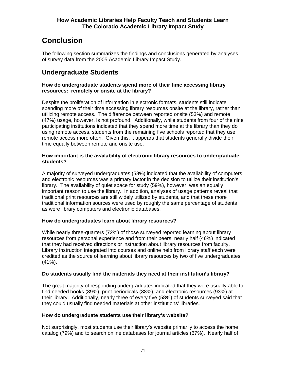## **Conclusion**

The following section summarizes the findings and conclusions generated by analyses of survey data from the 2005 Academic Library Impact Study.

### **Undergraduate Students**

#### **How do undergraduate students spend more of their time accessing library resources: remotely or onsite at the library?**

Despite the proliferation of information in electronic formats, students still indicate spending more of their time accessing library resources onsite at the library, rather than utilizing remote access. The difference between reported onsite (53%) and remote (47%) usage, however, is not profound. Additionally, while students from four of the nine participating institutions indicated that they spend more time at the library than they do using remote access, students from the remaining five schools reported that they use remote access more often. Given this, it appears that students generally divide their time equally between remote and onsite use.

#### **How important is the availability of electronic library resources to undergraduate students?**

A majority of surveyed undergraduates (58%) indicated that the availability of computers and electronic resources was a primary factor in the decision to utilize their institution's library. The availability of quiet space for study (59%), however, was an equally important reason to use the library. In addition, analyses of usage patterns reveal that traditional print resources are still widely utilized by students, and that these more traditional information sources were used by roughly the same percentage of students as were library computers and electronic databases.

#### **How do undergraduates learn about library resources?**

While nearly three-quarters (72%) of those surveyed reported learning about library resources from personal experience and from their peers, nearly half (46%) indicated that they had received directions or instruction about library resources from faculty. Library instruction integrated into courses and online help from library staff each were credited as the source of learning about library resources by two of five undergraduates (41%).

#### **Do students usually find the materials they need at their institution's library?**

The great majority of responding undergraduates indicated that they were usually able to find needed books (89%), print periodicals (88%), and electronic resources (93%) at their library. Additionally, nearly three of every five (58%) of students surveyed said that they could usually find needed materials at other institutions' libraries.

#### **How do undergraduate students use their library's website?**

Not surprisingly, most students use their library's website primarily to access the home catalog (79%) and to search online databases for journal articles (67%). Nearly half of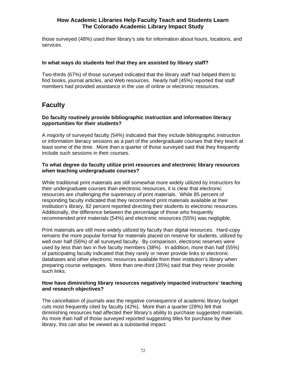those surveyed (48%) used their library's site for information about hours, locations, and services.

#### **In what ways do students feel that they are assisted by library staff?**

Two-thirds (67%) of those surveyed indicated that the library staff had helped them to find books, journal articles, and Web resources. Nearly half (45%) reported that staff members had provided assistance in the use of online or electronic resources.

### **Faculty**

#### **Do faculty routinely provide bibliographic instruction and information literacy opportunities for their students?**

A majority of surveyed faculty (54%) indicated that they include bibliographic instruction or information literacy sessions as a part of the undergraduate courses that they teach at least some of the time. More than a quarter of those surveyed said that they frequently include such sessions in their courses.

#### **To what degree do faculty utilize print resources and electronic library resources when teaching undergraduate courses?**

While traditional print materials are still somewhat more widely utilized by instructors for their undergraduate courses than electronic resources, it is clear that electronic resources are challenging the supremacy of print materials. While 85 percent of responding faculty indicated that they recommend print materials available at their institution's library, 82 percent reported directing their students to electronic resources. Additionally, the difference between the percentage of those who frequently recommended print materials (54%) and electronic resources (55%) was negligible.

Print materials are still more widely utilized by faculty than digital resources. Hard-copy remains the more popular format for materials placed on reserve for students, utilized by well over half (56%) of all surveyed faculty. By comparison, electronic reserves were used by less than two in five faculty members (38%). In addition, more than half (55%) of participating faculty indicated that they rarely or never provide links to electronic databases and other electronic resources available from their institution's library when preparing course webpages. More than one-third (35%) said that they never provide such links.

#### **How have diminishing library resources negatively impacted instructors' teaching and research objectives?**

The cancellation of journals was the negative consequence of academic library budget cuts most frequently cited by faculty (42%). More than a quarter (28%) felt that diminishing resources had affected their library's ability to purchase suggested materials. As more than half of those surveyed reported suggesting titles for purchase by their library, this can also be viewed as a substantial impact.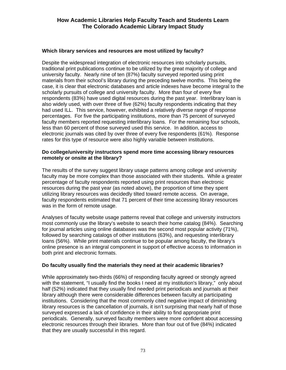#### **Which library services and resources are most utilized by faculty?**

Despite the widespread integration of electronic resources into scholarly pursuits, traditional print publications continue to be utilized by the great majority of college and university faculty. Nearly nine of ten (87%) faculty surveyed reported using print materials from their school's library during the preceding twelve months. This being the case, it is clear that electronic databases and article indexes have become integral to the scholarly pursuits of college and university faculty. More than four of every five respondents (83%) have used digital resources during the past year. Interlibrary loan is also widely used, with over three of five (62%) faculty respondents indicating that they had used ILL. This service, however, exhibited a relatively diverse range of response percentages. For five the participating institutions, more than 75 percent of surveyed faculty members reported requesting interlibrary loans. For the remaining four schools, less than 60 percent of those surveyed used this service. In addition, access to electronic journals was cited by over three of every five respondents (61%). Response rates for this type of resource were also highly variable between institutions.

#### **Do college/university instructors spend more time accessing library resources remotely or onsite at the library?**

The results of the survey suggest library usage patterns among college and university faculty may be more complex than those associated with their students. While a greater percentage of faculty respondents reported using print resources than electronic resources during the past year (as noted above), the proportion of time they spent utilizing library resources was decidedly tilted toward remote access. On average, faculty respondents estimated that 71 percent of their time accessing library resources was in the form of remote usage.

Analyses of faculty website usage patterns reveal that college and university instructors most commonly use the library's website to search their home catalog (84%). Searching for journal articles using online databases was the second most popular activity (71%), followed by searching catalogs of other institutions (63%), and requesting interlibrary loans (56%). While print materials continue to be popular among faculty, the library's online presence is an integral component in support of effective access to information in both print and electronic formats.

#### **Do faculty usually find the materials they need at their academic libraries?**

While approximately two-thirds (66%) of responding faculty agreed or strongly agreed with the statement, "I usually find the books I need at my institution's library," only about half (52%) indicated that they usually find needed print periodicals and journals at their library although there were considerable differences between faculty at participating institutions. Considering that the most commonly cited negative impact of diminishing library resources is the cancellation of journals, it isn't surprising that nearly half of those surveyed expressed a lack of confidence in their ability to find appropriate print periodicals. Generally, surveyed faculty members were more confident about accessing electronic resources through their libraries. More than four out of five (84%) indicated that they are usually successful in this regard.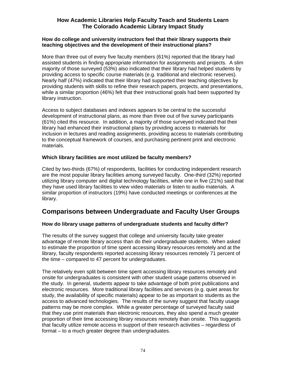#### **How do college and university instructors feel that their library supports their teaching objectives and the development of their instructional plans?**

More than three out of every five faculty members (61%) reported that the library had assisted students in finding appropriate information for assignments and projects. A slim majority of those surveyed (53%) also indicated that their library had helped students by providing access to specific course materials (e.g. traditional and electronic reserves). Nearly half (47%) indicated that their library had supported their teaching objectives by providing students with skills to refine their research papers, projects, and presentations, while a similar proportion (46%) felt that their instructional goals had been supported by library instruction.

Access to subject databases and indexes appears to be central to the successful development of instructional plans, as more than three out of five survey participants (61%) cited this resource. In addition, a majority of those surveyed indicated that their library had enhanced their instructional plans by providing access to materials for inclusion in lectures and reading assignments, providing access to materials contributing to the conceptual framework of courses, and purchasing pertinent print and electronic materials.

#### **Which library facilities are most utilized be faculty members?**

Cited by two-thirds (67%) of respondents, facilities for conducting independent research are the most popular library facilities among surveyed faculty. One-third (32%) reported utilizing library computer and digital technology facilities, while one in five (21%) said that they have used library facilities to view video materials or listen to audio materials. A similar proportion of instructors (19%) have conducted meetings or conferences at the library.

### **Comparisons between Undergraduate and Faculty User Groups**

#### **How do library usage patterns of undergraduate students and faculty differ?**

The results of the survey suggest that college and university faculty take greater advantage of remote library access than do their undergraduate students. When asked to estimate the proportion of time spent accessing library resources remotely and at the library, faculty respondents reported accessing library resources remotely 71 percent of the time – compared to 47 percent for undergraduates.

The relatively even split between time spent accessing library resources remotely and onsite for undergraduates is consistent with other student usage patterns observed in the study. In general, students appear to take advantage of both print publications and electronic resources. More traditional library facilities and services (e.g. quiet areas for study, the availability of specific materials) appear to be as important to students as the access to advanced technologies. The results of the survey suggest that faculty usage patterns may be more complex. While a greater percentage of surveyed faculty said that they use print materials than electronic resources, they also spend a much greater proportion of their time accessing library resources remotely than onsite. This suggests that faculty utilize remote access in support of their research activities – regardless of format – to a much greater degree than undergraduates.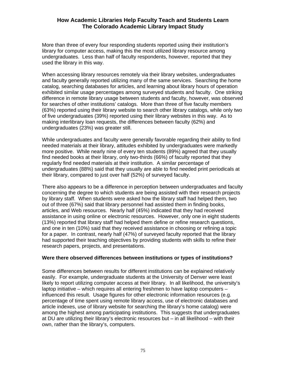More than three of every four responding students reported using their institution's library for computer access, making this the most utilized library resource among undergraduates. Less than half of faculty respondents, however, reported that they used the library in this way.

When accessing library resources remotely via their library websites, undergraduates and faculty generally reported utilizing many of the same services. Searching the home catalog, searching databases for articles, and learning about library hours of operation exhibited similar usage percentages among surveyed students and faculty. One striking difference in remote library usage between students and faculty, however, was observed for searches of other institutions' catalogs. More than three of five faculty members (63%) reported using their library website to search other library catalogs, while only two of five undergraduates (39%) reported using their library websites in this way. As to making interlibrary loan requests, the differences between faculty (62%) and undergraduates (23%) was greater still.

While undergraduates and faculty were generally favorable regarding their ability to find needed materials at their library, attitudes exhibited by undergraduates were markedly more positive. While nearly nine of every ten students (89%) agreed that they usually find needed books at their library, only two-thirds (66%) of faculty reported that they regularly find needed materials at their institution. A similar percentage of undergraduates (88%) said that they usually are able to find needed print periodicals at their library, compared to just over half (52%) of surveyed faculty.

There also appears to be a difference in perception between undergraduates and faculty concerning the degree to which students are being assisted with their research projects by library staff. When students were asked how the library staff had helped them, two out of three (67%) said that library personnel had assisted them in finding books, articles, and Web resources. Nearly half (45%) indicated that they had received assistance in using online or electronic resources. However, only one in eight students (13%) reported that library staff had helped them define or refine research questions, and one in ten (10%) said that they received assistance in choosing or refining a topic for a paper. In contrast, nearly half (47%) of surveyed faculty reported that the library had supported their teaching objectives by providing students with skills to refine their research papers, projects, and presentations.

#### **Were there observed differences between institutions or types of institutions?**

Some differences between results for different institutions can be explained relatively easily. For example, undergraduate students at the University of Denver were least likely to report utilizing computer access at their library. In all likelihood, the university's laptop initiative – which requires all entering freshmen to have laptop computers – influenced this result. Usage figures for other electronic information resources (e.g. percentage of time spent using remote library access, use of electronic databases and article indexes, use of library website for searching the library's home catalog) were among the highest among participating institutions. This suggests that undergraduates at DU are utilizing their library's electronic resources but – in all likelihood – with their own, rather than the library's, computers.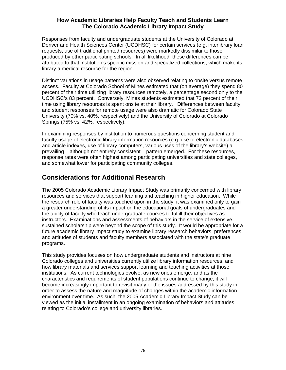Responses from faculty and undergraduate students at the University of Colorado at Denver and Health Sciences Center (UCDHSC) for certain services (e.g. interlibrary loan requests, use of traditional printed resources) were markedly dissimilar to those produced by other participating schools. In all likelihood, these differences can be attributed to that institution's specific mission and specialized collections, which make its library a medical resource for the region.

Distinct variations in usage patterns were also observed relating to onsite versus remote access. Faculty at Colorado School of Mines estimated that (on average) they spend 80 percent of their time utilizing library resources remotely, a percentage second only to the UCDHSC's 83 percent. Conversely, Mines students estimated that 72 percent of their time using library resources is spent onsite at their library. Differences between faculty and student responses for remote usage were also dramatic for Colorado State University (70% vs. 40%, respectively) and the University of Colorado at Colorado Springs (75% vs. 42%, respectively).

In examining responses by institution to numerous questions concerning student and faculty usage of electronic library information resources (e.g. use of electronic databases and article indexes, use of library computers, various uses of the library's website) a prevailing – although not entirely consistent – pattern emerged. For these resources, response rates were often highest among participating universities and state colleges, and somewhat lower for participating community colleges.

### **Considerations for Additional Research**

The 2005 Colorado Academic Library Impact Study was primarily concerned with library resources and services that support learning and teaching in higher education. While the research role of faculty was touched upon in the study, it was examined only to gain a greater understanding of its impact on the educational goals of undergraduates and the ability of faculty who teach undergraduate courses to fulfill their objectives as instructors. Examinations and assessments of behaviors in the service of extensive, sustained scholarship were beyond the scope of this study. It would be appropriate for a future academic library impact study to examine library research behaviors, preferences, and attitudes of students and faculty members associated with the state's graduate programs.

This study provides focuses on how undergraduate students and instructors at nine Colorado colleges and universities currently utilize library information resources, and how library materials and services support learning and teaching activities at those institutions. As current technologies evolve, as new ones emerge, and as the characteristics and requirements of student populations continue to change, it will become increasingly important to revisit many of the issues addressed by this study in order to assess the nature and magnitude of changes within the academic information environment over time. As such, the 2005 Academic Library Impact Study can be viewed as the initial installment in an ongoing examination of behaviors and attitudes relating to Colorado's college and university libraries.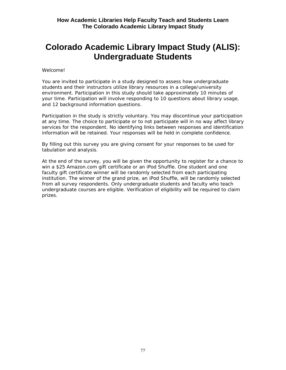## **Colorado Academic Library Impact Study (ALIS): Undergraduate Students**

#### Welcome!

You are invited to participate in a study designed to assess how undergraduate students and their instructors utilize library resources in a college/university environment. Participation in this study should take approximately 10 minutes of your time. Participation will involve responding to 10 questions about library usage, and 12 background information questions.

Participation in the study is strictly voluntary. You may discontinue your participation at any time. The choice to participate or to not participate will in no way affect library services for the respondent. No identifying links between responses and identification information will be retained. Your responses will be held in complete confidence.

By filling out this survey you are giving consent for your responses to be used for tabulation and analysis.

At the end of the survey, you will be given the opportunity to register for a chance to win a \$25 Amazon.com gift certificate or an iPod Shuffle. One student and one faculty gift certificate winner will be randomly selected from each participating institution. The winner of the grand prize, an iPod Shuffle, will be randomly selected from all survey respondents. Only undergraduate students and faculty who teach undergraduate courses are eligible. Verification of eligibility will be required to claim prizes.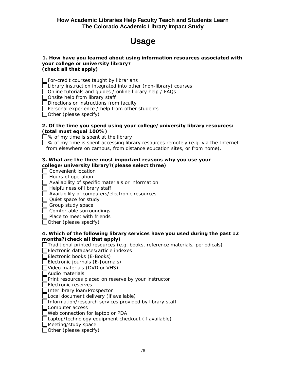# **Usage**

#### **1. How have you learned about using information resources associated with your college or university library? (check all that apply)**

For-credit courses taught by librarians

Library instruction integrated into other (non-library) courses

Online tutorials and guides / online library help / FAQs

Onsite help from library staff

Directions or instructions from faculty

Personal experience / help from other students

 $\Box$ Other (please specify)

#### **2. Of the time you spend using your college/university library resources: (total must equal 100%)**

 $\Box$ % of my time is spent at the library

 $\Box$ % of my time is spent accessing library resources remotely (e.g. via the Internet from elsewhere on campus, from distance education sites, or from home).

#### **3. What are the three most important reasons why you use your college/university library?(please select three)**

 $\Box$  Convenient location

 $\Box$  Hours of operation

Availability of specific materials or information

 $\Box$  Helpfulness of library staff

Availability of computers/electronic resources

 $\Box$  Quiet space for study

Group study space

Comfortable surroundings

Place to meet with friends

Other (please specify)

#### **4. Which of the following library services have you used during the past 12 months?(check all that apply)**

Traditional printed resources (e.g. books, reference materials, periodicals)

Electronic databases/article indexes

Electronic books (E-Books)

Electronic journals (E-Journals)

Video materials (DVD or VHS)

Audio materials

Print resources placed on reserve by your instructor

Electronic reserves

Interlibrary loan/Prospector

Local document delivery (if available)

Information/research services provided by library staff

Computer access

Web connection for laptop or PDA

Laptop/technology equipment checkout (if available)

Meeting/study space

Other (please specify)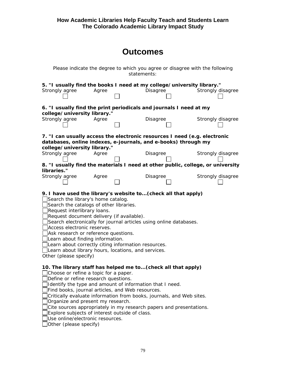## **Outcomes**

Please indicate the degree to which you agree or disagree with the following statements:

| Strongly agree                                                                                                                                                                                                                                                                                                                                                                                                      | Agree | 5. "I usually find the books I need at my college/university library."<br>Disagree                                                                                                                | Strongly disagree |  |  |  |  |
|---------------------------------------------------------------------------------------------------------------------------------------------------------------------------------------------------------------------------------------------------------------------------------------------------------------------------------------------------------------------------------------------------------------------|-------|---------------------------------------------------------------------------------------------------------------------------------------------------------------------------------------------------|-------------------|--|--|--|--|
| 6. "I usually find the print periodicals and journals I need at my<br>college/university library."                                                                                                                                                                                                                                                                                                                  |       |                                                                                                                                                                                                   |                   |  |  |  |  |
| Strongly agree                                                                                                                                                                                                                                                                                                                                                                                                      | Agree | Disagree                                                                                                                                                                                          | Strongly disagree |  |  |  |  |
| college/university library."                                                                                                                                                                                                                                                                                                                                                                                        |       | 7. "I can usually access the electronic resources I need (e.g. electronic<br>databases, online indexes, e-journals, and e-books) through my                                                       |                   |  |  |  |  |
| Strongly agree                                                                                                                                                                                                                                                                                                                                                                                                      | Agree | Disagree                                                                                                                                                                                          | Strongly disagree |  |  |  |  |
| libraries."                                                                                                                                                                                                                                                                                                                                                                                                         |       | 8. "I usually find the materials I need at other public, college, or university                                                                                                                   |                   |  |  |  |  |
| Strongly agree                                                                                                                                                                                                                                                                                                                                                                                                      | Agree | Disagree                                                                                                                                                                                          | Strongly disagree |  |  |  |  |
| Search the library's home catalog.<br>Search the catalogs of other libraries.<br>Request interlibrary loans.<br>Request document delivery (if available).<br>Access electronic reserves.<br>$\Box$ Ask research or reference questions.<br>Learn about finding information.<br>Learn about correctly citing information resources.<br>Learn about library hours, locations, and services.<br>Other (please specify) |       | 9. I have used the library's website to (check all that apply)<br>Search electronically for journal articles using online databases.                                                              |                   |  |  |  |  |
| Choose or refine a topic for a paper.<br>Define or refine research questions.<br>Find books, journal articles, and Web resources.<br>$\Omega$                                                                                                                                                                                                                                                                       |       | 10. The library staff has helped me to (check all that apply)<br>Identify the type and amount of information that I need.<br>Critically evaluate information from books, journals, and Web sites. |                   |  |  |  |  |

□Organize and present my research.

- Cite sources appropriately in my research papers and presentations.
- Explore subjects of interest outside of class.

Use online/electronic resources.

Other (please specify)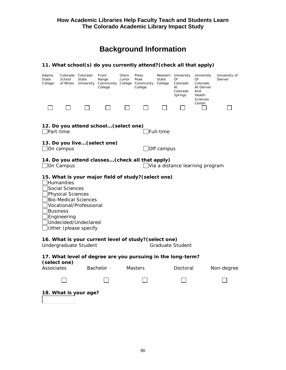## **Background Information**

#### **11. What school(s) do you currently attend?(check all that apply)**

| Adams<br>State<br>College | School<br>of Mines                                                                               | Colorado Colorado<br>State<br>University                                                                | Front<br>Range<br>College             | Otero<br>Junior | Pikes<br>Peak<br>Community College Community College<br>College | State      | Western University<br>Of<br>Colorado<br>At<br>Colorado<br>Springs | University<br>Of<br>Colorado<br>At Denver<br>And<br>Health<br><b>Sciences</b> | University of<br>Denver |
|---------------------------|--------------------------------------------------------------------------------------------------|---------------------------------------------------------------------------------------------------------|---------------------------------------|-----------------|-----------------------------------------------------------------|------------|-------------------------------------------------------------------|-------------------------------------------------------------------------------|-------------------------|
|                           |                                                                                                  |                                                                                                         |                                       |                 |                                                                 |            |                                                                   | Center                                                                        |                         |
| $\Box$ Part-time          |                                                                                                  |                                                                                                         | 12. Do you attend school (select one) |                 |                                                                 | Full-time  |                                                                   |                                                                               |                         |
| $\Box$ On campus          |                                                                                                  |                                                                                                         | 13. Do you live (select one)          |                 |                                                                 | Off campus |                                                                   |                                                                               |                         |
|                           | 14. Do you attend classes (check all that apply)<br>On Campus<br>Via a distance learning program |                                                                                                         |                                       |                 |                                                                 |            |                                                                   |                                                                               |                         |
| <b>Business</b>           | Humanities<br>Social Sciences<br>Physical Sciences<br>Engineering                                | <b>Bio-Medical Sciences</b><br>Vocational/Professional<br>Undecided/Undeclared<br>Other (please specify |                                       |                 | 15. What is your major field of study? (select one)             |            |                                                                   |                                                                               |                         |
|                           |                                                                                                  | Undergraduate Student                                                                                   |                                       |                 | 16. What is your current level of study? (select one)           |            | Graduate Student                                                  |                                                                               |                         |
| (select one)              |                                                                                                  |                                                                                                         |                                       |                 | 17. What level of degree are you pursuing in the long-term?     |            |                                                                   |                                                                               |                         |
| Associates                |                                                                                                  |                                                                                                         | <b>Bachelor</b>                       |                 | Masters                                                         |            | Doctoral                                                          |                                                                               | Non-degree              |
|                           |                                                                                                  |                                                                                                         |                                       |                 |                                                                 |            |                                                                   |                                                                               |                         |
|                           |                                                                                                  | 18. What is your age?                                                                                   |                                       |                 |                                                                 |            |                                                                   |                                                                               |                         |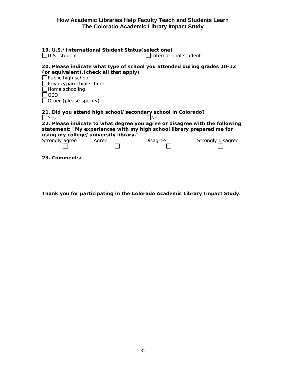| 19. U.S./International Student Status (select one)<br>$\Box$ U.S. student                                                                                                                                                               | International student |                   |
|-----------------------------------------------------------------------------------------------------------------------------------------------------------------------------------------------------------------------------------------|-----------------------|-------------------|
| 20. Please indicate what type of school you attended during grades 10-12<br>(or equivalent). (check all that apply)<br>$\Box$ Public high school<br>Private/parochial school<br>Home schooling<br><b>IGED</b><br>Other (please specify) |                       |                   |
| 21. Did you attend high school/secondary school in Colorado?<br>$\Box$ Yes                                                                                                                                                              | INo                   |                   |
| 22. Please indicate to what degree you agree or disagree with the following<br>statement: "My experiences with my high school library prepared me for                                                                                   |                       |                   |
| using my college/university library."                                                                                                                                                                                                   |                       |                   |
| Strongly agree<br>Agree                                                                                                                                                                                                                 | Disagree              | Strongly disagree |
| 23. Comments:                                                                                                                                                                                                                           |                       |                   |

**Thank you for participating in the Colorado Academic Library Impact Study.**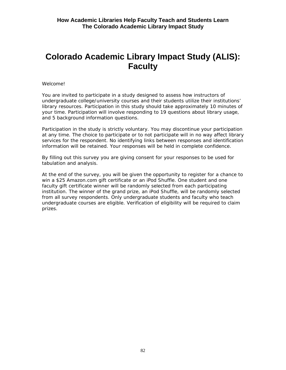# **Colorado Academic Library Impact Study (ALIS): Faculty**

#### Welcome!

You are invited to participate in a study designed to assess how instructors of undergraduate college/university courses and their students utilize their institutions' library resources. Participation in this study should take approximately 10 minutes of your time. Participation will involve responding to 19 questions about library usage, and 5 background information questions.

Participation in the study is strictly voluntary. You may discontinue your participation at any time. The choice to participate or to not participate will in no way affect library services for the respondent. No identifying links between responses and identification information will be retained. Your responses will be held in complete confidence.

By filling out this survey you are giving consent for your responses to be used for tabulation and analysis.

At the end of the survey, you will be given the opportunity to register for a chance to win a \$25 Amazon.com gift certificate or an iPod Shuffle. One student and one faculty gift certificate winner will be randomly selected from each participating institution. The winner of the grand prize, an iPod Shuffle, will be randomly selected from all survey respondents. Only undergraduate students and faculty who teach undergraduate courses are eligible. Verification of eligibility will be required to claim prizes.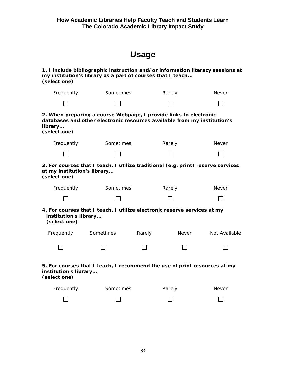# **Usage**

**1. I include bibliographic instruction and/or information literacy sessions at my institution's library as a part of courses that I teach... (select one)**

| Frequently                                  | Sometimes                                                                                                                                     |        | Rarely | Never         |
|---------------------------------------------|-----------------------------------------------------------------------------------------------------------------------------------------------|--------|--------|---------------|
|                                             |                                                                                                                                               |        |        |               |
| library<br>(select one)                     | 2. When preparing a course Webpage, I provide links to electronic<br>databases and other electronic resources available from my institution's |        |        |               |
| Frequently                                  | Sometimes                                                                                                                                     |        | Rarely | <b>Never</b>  |
|                                             |                                                                                                                                               |        |        |               |
| at my institution's library<br>(select one) | 3. For courses that I teach, I utilize traditional (e.g. print) reserve services                                                              |        |        |               |
| Frequently                                  | Sometimes                                                                                                                                     |        | Rarely | Never         |
|                                             |                                                                                                                                               |        |        |               |
| institution's library<br>(select one)       | 4. For courses that I teach, I utilize electronic reserve services at my                                                                      |        |        |               |
| Frequently                                  | Sometimes                                                                                                                                     | Rarely | Never  | Not Available |
|                                             |                                                                                                                                               |        |        |               |
| institution's library<br>(select one)       | 5. For courses that I teach, I recommend the use of print resources at my                                                                     |        |        |               |
| Frequently                                  | Sometimes                                                                                                                                     |        | Rarely | <b>Never</b>  |
|                                             |                                                                                                                                               |        |        |               |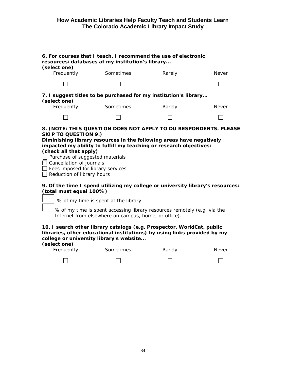| (select one)                                                                                                                     | 6. For courses that I teach, I recommend the use of electronic<br>resources/databases at my institution's library                                                                                                                                                                                                                                                 |        |              |  |  |  |  |
|----------------------------------------------------------------------------------------------------------------------------------|-------------------------------------------------------------------------------------------------------------------------------------------------------------------------------------------------------------------------------------------------------------------------------------------------------------------------------------------------------------------|--------|--------------|--|--|--|--|
| Frequently                                                                                                                       | Sometimes                                                                                                                                                                                                                                                                                                                                                         | Rarely | <b>Never</b> |  |  |  |  |
|                                                                                                                                  |                                                                                                                                                                                                                                                                                                                                                                   |        |              |  |  |  |  |
| (select one)                                                                                                                     | 7. I suggest titles to be purchased for my institution's library                                                                                                                                                                                                                                                                                                  |        |              |  |  |  |  |
| Frequently                                                                                                                       | Sometimes                                                                                                                                                                                                                                                                                                                                                         | Rarely | <b>Never</b> |  |  |  |  |
|                                                                                                                                  |                                                                                                                                                                                                                                                                                                                                                                   |        |              |  |  |  |  |
|                                                                                                                                  | <b>SKIP TO QUESTION 9.)</b><br>Diminishing library resources in the following areas have negatively<br>impacted my ability to fulfill my teaching or research objectives:<br>(check all that apply)<br>$\Box$ Purchase of suggested materials<br>$\Box$ Cancellation of journals<br>$\Box$ Fees imposed for library services<br>$\Box$ Reduction of library hours |        |              |  |  |  |  |
| (total must equal 100%)                                                                                                          | 9. Of the time I spend utilizing my college or university library's resources:                                                                                                                                                                                                                                                                                    |        |              |  |  |  |  |
| % of my time is spent at the library                                                                                             |                                                                                                                                                                                                                                                                                                                                                                   |        |              |  |  |  |  |
| % of my time is spent accessing library resources remotely (e.g. via the<br>Internet from elsewhere on campus, home, or office). |                                                                                                                                                                                                                                                                                                                                                                   |        |              |  |  |  |  |
|                                                                                                                                  |                                                                                                                                                                                                                                                                                                                                                                   |        |              |  |  |  |  |

#### **10. I search other library catalogs (e.g. Prospector, WorldCat, public libraries, other educational institutions) by using links provided by my college or university library's website... (select one)**

| ,,,,,,,,,,<br>Frequently | <b>Sometimes</b> | Rarely | <b>Never</b> |
|--------------------------|------------------|--------|--------------|
|                          |                  |        |              |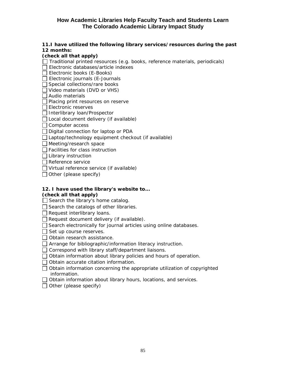#### **11.I have utilized the following library services/resources during the past 12 months:**

#### **(check all that apply)**

 $\Box$  Traditional printed resources (e.g. books, reference materials, periodicals)

- Electronic databases/article indexes
- $\Box$  Electronic books (E-Books)

 $\Box$  Electronic journals (E-Journals

 $\Box$  Special collections/rare books

□ Video materials (DVD or VHS)

Audio materials

Placing print resources on reserve

 $\Box$  Electronic reserves

□ Interlibrary loan/Prospector

- □ Local document delivery (if available)
- □ Computer access

□ Digital connection for laptop or PDA

- □ Laptop/technology equipment checkout (if available)
- □ Meeting/research space

 $\Box$  Facilities for class instruction

□ Library instruction

Reference service

□ Virtual reference service (if available)

 $\Box$  Other (please specify)

#### **12. I have used the library's website to...**

#### **(check all that apply)**

 $\Box$  Search the library's home catalog.

- $\Box$  Search the catalogs of other libraries.
- Request interlibrary loans.
- $\Box$  Request document delivery (if available).
- $\Box$  Search electronically for journal articles using online databases.
- $\Box$  Set up course reserves.
- $\Box$  Obtain research assistance.
- □ Arrange for bibliographic/information literacy instruction.
- $\Box$  Correspond with library staff/department liaisons.
- □ Obtain information about library policies and hours of operation.
- Obtain accurate citation information.
- $\Box$  Obtain information concerning the appropriate utilization of copyrighted information.
- Obtain information about library hours, locations, and services.
- $\Box$  Other (please specify)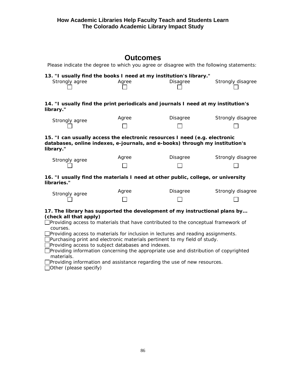### **Outcomes**

Please indicate the degree to which you agree or disagree with the following statements:

| 13. "I usually find the books I need at my institution's library." |       |          |                   |
|--------------------------------------------------------------------|-------|----------|-------------------|
| Strongly agree                                                     | Agree | Disagree | Strongly disagree |
|                                                                    |       |          |                   |
|                                                                    |       |          |                   |

#### **14. "I usually find the print periodicals and journals I need at my institution's library."**

| Strongly agree | Agree | Disagree | Strongly disagree |
|----------------|-------|----------|-------------------|
|                |       |          |                   |

**15. "I can usually access the electronic resources I need (e.g. electronic databases, online indexes, e-journals, and e-books) through my institution's library."** 

| Strongly agree | Agree | Disagree | Strongly disagree |
|----------------|-------|----------|-------------------|
|                |       |          |                   |

**16. "I usually find the materials I need at other public, college, or university libraries."** 

| Strongly agree | Agree | <b>Disagree</b> | Strongly disagree |
|----------------|-------|-----------------|-------------------|
|                |       |                 |                   |

#### **17. The library has supported the development of my instructional plans by... (check all that apply)**

Providing access to materials that have contributed to the conceptual framework of courses.

□Providing access to materials for inclusion in lectures and reading assignments.

□Purchasing print and electronic materials pertinent to my field of study.

Providing access to subject databases and indexes.

Providing information concerning the appropriate use and distribution of copyrighted materials.

□Providing information and assistance regarding the use of new resources.

 $\Box$ Other (please specify)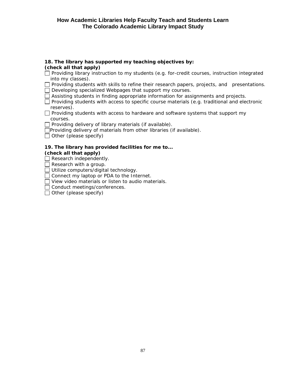#### **18. The library has supported my teaching objectives by: (check all that apply)**

|                   | $\Box$ Providing library instruction to my students (e.g. for-credit courses, instruction integrated |  |
|-------------------|------------------------------------------------------------------------------------------------------|--|
| into my classes). |                                                                                                      |  |

 $\Box$  Providing students with skills to refine their research papers, projects, and presentations.

 $\Box$  Developing specialized Webpages that support my courses.

 $\Box$  Assisting students in finding appropriate information for assignments and projects.

 $\Box$  Providing students with access to specific course materials (e.g. traditional and electronic reserves).

 $\Box$  Providing students with access to hardware and software systems that support my courses.

 $\Box$  Providing delivery of library materials (if available).

□Providing delivery of materials from other libraries (if available).

 $\Box$  Other (please specify)

#### **19. The library has provided facilities for me to...**

#### **(check all that apply)**

 $\Box$  Research independently.

 $\Box$  Research with a group.

Utilize computers/digital technology.

□ Connect my laptop or PDA to the Internet.

□ View video materials or listen to audio materials.

□ Conduct meetings/conferences.

 $\Box$  Other (please specify)